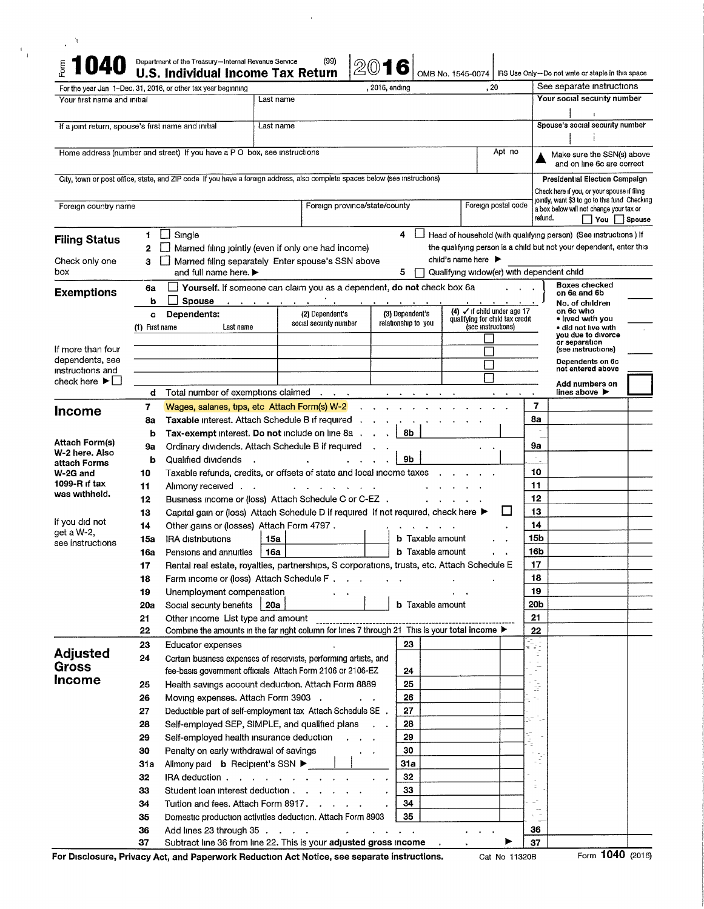|                                                                        |                                                                                                                             |                                                                                                      | , 2016, ending                                                   | , 20                                                                                 | See separate instructions                                                                    | IRS Use Only-Do not write or staple in this space |  |
|------------------------------------------------------------------------|-----------------------------------------------------------------------------------------------------------------------------|------------------------------------------------------------------------------------------------------|------------------------------------------------------------------|--------------------------------------------------------------------------------------|----------------------------------------------------------------------------------------------|---------------------------------------------------|--|
| Your first name and initial                                            | For the year Jan 1-Dec, 31, 2016, or other tax year beginning                                                               | Last name                                                                                            |                                                                  |                                                                                      | Your social security number                                                                  |                                                   |  |
|                                                                        |                                                                                                                             |                                                                                                      |                                                                  |                                                                                      | Spouse's social security number                                                              |                                                   |  |
|                                                                        | If a joint return, spouse's first name and initial                                                                          | Last name                                                                                            |                                                                  |                                                                                      |                                                                                              |                                                   |  |
|                                                                        |                                                                                                                             | Home address (number and street) If you have a PO box, see instructions<br>Apt no                    |                                                                  |                                                                                      |                                                                                              |                                                   |  |
|                                                                        | City, town or post office, state, and ZIP code If you have a foreign address, also complete spaces below (see instructions) |                                                                                                      |                                                                  |                                                                                      | Presidential Election Campaign                                                               |                                                   |  |
|                                                                        |                                                                                                                             |                                                                                                      |                                                                  |                                                                                      | Check here if you, or your spouse if filing<br>jointly, want \$3 to go to this fund Checking |                                                   |  |
| Foreign country name                                                   |                                                                                                                             | Foreign postal code<br>Foreign province/state/county                                                 |                                                                  |                                                                                      |                                                                                              |                                                   |  |
| <b>Filing Status</b>                                                   | Single<br>$\mathsf{I}$<br>1.                                                                                                |                                                                                                      | 4<br>$\begin{array}{c} \hline \end{array}$                       | Head of household (with qualifying person) (See instructions) If                     |                                                                                              |                                                   |  |
|                                                                        | 2                                                                                                                           | Married filing jointly (even if only one had income)                                                 |                                                                  | the qualifying person is a child but not your dependent, enter this                  |                                                                                              |                                                   |  |
| Check only one<br>box                                                  | 3                                                                                                                           | Married filing separately Enter spouse's SSN above                                                   | 5                                                                | child's name here $\blacktriangleright$<br>Qualifying widow(er) with dependent child |                                                                                              |                                                   |  |
|                                                                        | and full name here. ▶                                                                                                       | Yourself. If someone can claim you as a dependent, do not check box 6a                               |                                                                  |                                                                                      | <b>Boxes checked</b>                                                                         |                                                   |  |
| <b>Exemptions</b>                                                      | 6a<br><b>Spouse</b><br>b                                                                                                    | contract and a state                                                                                 |                                                                  |                                                                                      | on 6a and 6b<br>No. of children                                                              |                                                   |  |
|                                                                        | Dependents:<br>C                                                                                                            | (2) Dependent's                                                                                      | (3) Dependent's                                                  | $(4)$ $\checkmark$ if child under age 17<br>qualifying for child tax credit          | on 6c who<br>• lived with you                                                                |                                                   |  |
|                                                                        | (1) First name<br>Last name                                                                                                 | social security number                                                                               | relationship to you                                              | (see instructions)                                                                   | · did not live with<br>you due to divorce                                                    |                                                   |  |
| If more than four                                                      |                                                                                                                             |                                                                                                      |                                                                  |                                                                                      | or separation<br>(see instructions)                                                          |                                                   |  |
| dependents, see                                                        |                                                                                                                             |                                                                                                      |                                                                  |                                                                                      | Dependents on 6c                                                                             |                                                   |  |
| instructions and<br>check here $\blacktriangleright$ $\vdash$ $\vdash$ |                                                                                                                             |                                                                                                      |                                                                  |                                                                                      | not entered above                                                                            |                                                   |  |
|                                                                        | Total number of exemptions claimed<br>d                                                                                     | $\sim 10^{-10}$ km $^{-1}$                                                                           | $\mathbf{A}$ , and $\mathbf{A}$ , and $\mathbf{A}$               | $\mathbf{A} = \mathbf{A} \mathbf{A} + \mathbf{A} \mathbf{A}$                         | Add numbers on<br>lines above $\blacktriangleright$<br>$\bullet$                             |                                                   |  |
| <b>Income</b>                                                          | 7                                                                                                                           | Wages, salaries, tips, etc Attach Form(s) W-2                                                        |                                                                  |                                                                                      | 7                                                                                            |                                                   |  |
|                                                                        | 8а                                                                                                                          | Taxable Interest. Attach Schedule B if required                                                      |                                                                  |                                                                                      | 8a                                                                                           |                                                   |  |
| Attach Form(s)                                                         | b                                                                                                                           | Tax-exempt interest. Do not include on line 8a                                                       | 8b                                                               |                                                                                      |                                                                                              |                                                   |  |
| W-2 here, Also                                                         | 9a<br>Qualified dividends                                                                                                   | Ordinary dividends, Attach Schedule B if required                                                    | 9b                                                               |                                                                                      | 9a                                                                                           |                                                   |  |
| attach Forms<br>W-2G and                                               | b<br>10                                                                                                                     |                                                                                                      |                                                                  |                                                                                      | 10                                                                                           |                                                   |  |
| 1099-R if $tax$                                                        | 11                                                                                                                          | Taxable refunds, credits, or offsets of state and local income taxes<br>Alimony received .           |                                                                  |                                                                                      |                                                                                              |                                                   |  |
| was withheld.                                                          | $12 \,$                                                                                                                     | Business income or (loss) Attach Schedule C or C-EZ .                                                |                                                                  |                                                                                      | 12                                                                                           |                                                   |  |
|                                                                        | 13                                                                                                                          | Capital gain or (loss) Attach Schedule D if required If not required, check here ▶                   |                                                                  | ப                                                                                    | 13                                                                                           |                                                   |  |
| If you did not<br>get a W-2,                                           | 14                                                                                                                          | Other gains or (losses) Attach Form 4797.                                                            |                                                                  |                                                                                      | 14                                                                                           |                                                   |  |
| see instructions                                                       | <b>IRA distributions</b><br>15a                                                                                             | 15a                                                                                                  | <b>b</b> Taxable amount                                          |                                                                                      | 15 <sub>b</sub>                                                                              |                                                   |  |
|                                                                        | Pensions and annuities<br>16а                                                                                               | 16a  <br>Rental real estate, royalties, partnerships, S corporations, trusts, etc. Attach Schedule E | <b>b</b> Taxable amount                                          |                                                                                      | 16b<br>17                                                                                    |                                                   |  |
|                                                                        | 17<br>18                                                                                                                    | Farm income or (loss) Attach Schedule F                                                              | $\ddotsc$                                                        |                                                                                      | 18                                                                                           |                                                   |  |
|                                                                        | Unemployment compensation<br>19                                                                                             |                                                                                                      |                                                                  |                                                                                      | 19                                                                                           |                                                   |  |
|                                                                        | Social security benefits   20a<br><b>20a</b>                                                                                |                                                                                                      | <b>b</b> Taxable amount                                          |                                                                                      | 20b                                                                                          |                                                   |  |
|                                                                        | 21<br>Other income List type and amount                                                                                     |                                                                                                      |                                                                  |                                                                                      | 21                                                                                           |                                                   |  |
|                                                                        | 22                                                                                                                          | Combine the amounts in the far right column for lines 7 through 21 This is your total income ▶       |                                                                  |                                                                                      | 22                                                                                           |                                                   |  |
| <b>Adjusted</b>                                                        | 23<br>Educator expenses                                                                                                     |                                                                                                      | 23                                                               |                                                                                      | 79                                                                                           |                                                   |  |
| Gross                                                                  | 24                                                                                                                          | Certain business expenses of reservists, performing artists, and                                     |                                                                  |                                                                                      | $\sim$ $ \sim$<br>÷,                                                                         |                                                   |  |
| <b>Income</b>                                                          |                                                                                                                             | fee-basis government officials Attach Form 2106 or 2106-EZ                                           | 24                                                               |                                                                                      |                                                                                              |                                                   |  |
|                                                                        | 25<br>26                                                                                                                    | Health savings account deduction. Attach Form 8889<br>Moving expenses. Attach Form 3903 .            | 25<br>26<br>$\mathbf{r} = \mathbf{r}$                            |                                                                                      | $\frac{1}{2}$<br>$\gamma_{\rm in}$                                                           |                                                   |  |
|                                                                        | 27                                                                                                                          | Deductible part of self-employment tax Attach Schedule SE.                                           | 27                                                               |                                                                                      |                                                                                              |                                                   |  |
|                                                                        | 28                                                                                                                          | Self-employed SEP, SIMPLE, and qualified plans                                                       | 28                                                               |                                                                                      |                                                                                              |                                                   |  |
|                                                                        | 29                                                                                                                          | Self-employed health insurance deduction                                                             | 29                                                               |                                                                                      | the control                                                                                  |                                                   |  |
|                                                                        | 30                                                                                                                          | Penalty on early withdrawal of savings                                                               | 30<br>$\cdot$ $\cdot$                                            |                                                                                      |                                                                                              |                                                   |  |
|                                                                        | 31a                                                                                                                         | Alimony paid <b>b</b> Recipient's SSN ▶                                                              | 31a                                                              |                                                                                      |                                                                                              |                                                   |  |
|                                                                        | 32                                                                                                                          | IRA deduction                                                                                        | 32                                                               |                                                                                      | Ξ                                                                                            |                                                   |  |
|                                                                        | 33                                                                                                                          | Student loan interest deduction                                                                      | 33                                                               |                                                                                      |                                                                                              |                                                   |  |
|                                                                        | 34                                                                                                                          | Tuition and fees. Attach Form 8917.                                                                  | 34<br>35                                                         |                                                                                      |                                                                                              |                                                   |  |
|                                                                        | 35                                                                                                                          | Domestic production activities deduction. Attach Form 8903                                           |                                                                  |                                                                                      |                                                                                              |                                                   |  |
|                                                                        | 36                                                                                                                          | Add lines 23 through $35$                                                                            | $\mathbf{r} = \mathbf{r} + \mathbf{r} + \mathbf{r} + \mathbf{r}$ |                                                                                      | 36                                                                                           |                                                   |  |

 $\bar{\beta}$ 

For Disclosure, Privacy Act, and Paperwork Reduction Act Notice, see separate instructions. Cat No 11320B Form **1040** (2016)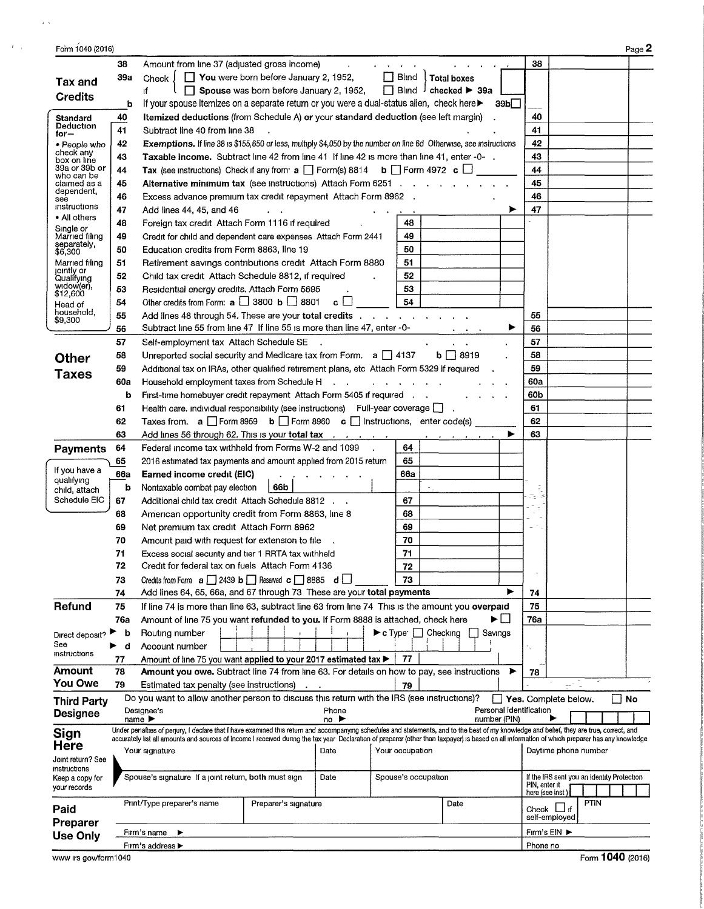| Form 1040 (2016)                  |     |                                                                                                                                                                                                                                                                                                                                                                                             | Page 2                                     |
|-----------------------------------|-----|---------------------------------------------------------------------------------------------------------------------------------------------------------------------------------------------------------------------------------------------------------------------------------------------------------------------------------------------------------------------------------------------|--------------------------------------------|
|                                   | 38  | Amount from line 37 (adjusted gross income)<br>$\mathbf{r} = \mathbf{r} + \mathbf{r} + \mathbf{r} + \mathbf{r}$                                                                                                                                                                                                                                                                             | 38                                         |
|                                   | 39a | $\Box$ You were born before January 2, 1952,<br>$\Box$ Blind<br>Check J<br>Total boxes                                                                                                                                                                                                                                                                                                      |                                            |
| Tax and                           |     | ŧf.<br>$\Box$ Blind $\Box$ checked $\blacktriangleright$ 39a<br>$\Box$ Spouse was born before January 2, 1952,                                                                                                                                                                                                                                                                              |                                            |
| <b>Credits</b>                    | b   | If your spouse itemizes on a separate return or you were a dual-status alien, check here<br>39 <sub>b</sub>                                                                                                                                                                                                                                                                                 |                                            |
| Standard                          | 40  | Itemized deductions (from Schedule A) or your standard deduction (see left margin)                                                                                                                                                                                                                                                                                                          | 40                                         |
| Deduction<br>for $-$              | 41  | Subtract line 40 from line 38                                                                                                                                                                                                                                                                                                                                                               | 41                                         |
| • People who                      | 42  | Exemptions. If line 38 is \$155,650 or less, multiply \$4,050 by the number on line 6d Otherwise, see instructions                                                                                                                                                                                                                                                                          | 42                                         |
| check any<br>box on line          | 43  | Taxable income. Subtract line 42 from line 41 If line 42 is more than line 41, enter -0-.                                                                                                                                                                                                                                                                                                   | 43                                         |
| 39a or 39b <b>or</b>              | 44  | Tax (see instructions) Check if any from $a \Box$ Form(s) 8814 b $\Box$ Form 4972 c $\Box$                                                                                                                                                                                                                                                                                                  | 44                                         |
| who can be<br>claimed as a        | 45  | Alternative minimum tax (see instructions) Attach Form 6251                                                                                                                                                                                                                                                                                                                                 | 45                                         |
| dependent,<br>see                 | 46  | Excess advance premium tax credit repayment Attach Form 8962.                                                                                                                                                                                                                                                                                                                               | 46                                         |
| instructions                      | 47  | Add lines 44, 45, and 46<br>▶                                                                                                                                                                                                                                                                                                                                                               | 47                                         |
| • All others                      | 48  | Foreign tax credit Attach Form 1116 if required<br>48                                                                                                                                                                                                                                                                                                                                       |                                            |
| Single or<br>Married filing       | 49  | 49<br>Credit for child and dependent care expenses Attach Form 2441                                                                                                                                                                                                                                                                                                                         |                                            |
| separately,<br>\$6,300            | 50  | 50<br>Education credits from Form 8863, line 19                                                                                                                                                                                                                                                                                                                                             |                                            |
| Married filing                    | 51  | 51<br>Retirement savings contributions credit Attach Form 8880                                                                                                                                                                                                                                                                                                                              |                                            |
| jointly or<br>Qualifying          | 52  | 52<br>Child tax credit Attach Schedule 8812, if required                                                                                                                                                                                                                                                                                                                                    |                                            |
| widow(er),                        | 53  | Residential energy credits. Attach Form 5695<br>53                                                                                                                                                                                                                                                                                                                                          |                                            |
| \$12,600<br>Head of               | 54  | Other credits from Form: $a \Box$ 3800 $b \Box$ 8801<br>54<br>$\circ \sqcup$                                                                                                                                                                                                                                                                                                                |                                            |
| household.                        | 55  | Add lines 48 through 54. These are your total credits $\ldots$ , $\ldots$ , $\ldots$ , $\ldots$                                                                                                                                                                                                                                                                                             | 55                                         |
| \$9,300                           | 56  | Subtract line 55 from line 47 If line 55 is more than line 47, enter -0-<br>▶                                                                                                                                                                                                                                                                                                               | 56                                         |
|                                   | 57  | Self-employment tax Attach Schedule SE                                                                                                                                                                                                                                                                                                                                                      | 57                                         |
| <b>Other</b>                      | 58  | Unreported social security and Medicare tax from Form. a 137<br>$b \Box 8919$                                                                                                                                                                                                                                                                                                               | 58                                         |
|                                   | 59  | Additional tax on IRAs, other qualified retirement plans, etc Attach Form 5329 if required                                                                                                                                                                                                                                                                                                  | 59                                         |
| <b>Taxes</b>                      | 60a | Household employment taxes from Schedule H<br>and a strain and a strain                                                                                                                                                                                                                                                                                                                     | 60a                                        |
|                                   | b   | First-time homebuyer credit repayment Attach Form 5405 if required                                                                                                                                                                                                                                                                                                                          | 60b                                        |
|                                   | 61  | Health care, individual responsibility (see instructions) Full-year coverage [ ]                                                                                                                                                                                                                                                                                                            | 61                                         |
|                                   | 62  | Taxes from. $\mathbf{a} \square$ Form 8959 $\mathbf{b} \square$ Form 8960 $\mathbf{c} \square$ Instructions, enter code(s)                                                                                                                                                                                                                                                                  | 62                                         |
|                                   | 63  | Add lines 56 through 62. This is your total tax                                                                                                                                                                                                                                                                                                                                             | 63                                         |
| <b>Payments</b>                   | 64  | Federal income tax withheld from Forms W-2 and 1099<br>64                                                                                                                                                                                                                                                                                                                                   |                                            |
|                                   | 65  | 65<br>2016 estimated tax payments and amount applied from 2015 return                                                                                                                                                                                                                                                                                                                       |                                            |
| If you have a                     | 66a | Earned income credit (EIC)<br>66a                                                                                                                                                                                                                                                                                                                                                           |                                            |
| qualifying                        | b   | Nontaxable combat pay election<br>66b                                                                                                                                                                                                                                                                                                                                                       |                                            |
| child, attach<br>Schedule EIC     | 67  | Additional child tax credit Attach Schedule 8812<br>67                                                                                                                                                                                                                                                                                                                                      | Ль<br>5                                    |
|                                   | 68  | 68<br>American opportunity credit from Form 8863, line 8                                                                                                                                                                                                                                                                                                                                    |                                            |
|                                   | 69  | 69<br>Net premium tax credit Attach Form 8962                                                                                                                                                                                                                                                                                                                                               | $\sim$                                     |
|                                   | 70  | 70<br>Amount paid with request for extension to file                                                                                                                                                                                                                                                                                                                                        |                                            |
|                                   | 71  | 71<br>Excess social security and tier 1 RRTA tax withheld                                                                                                                                                                                                                                                                                                                                   |                                            |
|                                   | 72  | Credit for federal tax on fuels Attach Form 4136<br>72                                                                                                                                                                                                                                                                                                                                      |                                            |
|                                   | 73  | Credits from Form $\mathbf{a}$   2439 $\mathbf{b}$   Reserved $\mathbf{c}$   8885 $\mathbf{d}$  <br>73                                                                                                                                                                                                                                                                                      |                                            |
|                                   | 74  | Add lines 64, 65, 66a, and 67 through 73 These are your total payments<br>▶                                                                                                                                                                                                                                                                                                                 | 74                                         |
| Refund                            | 75  | If line 74 is more than line 63, subtract line 63 from line 74 This is the amount you overpaid                                                                                                                                                                                                                                                                                              | 75                                         |
|                                   | 76a | ►⊔<br>Amount of line 75 you want refunded to you. If Form 8888 is attached, check here                                                                                                                                                                                                                                                                                                      | 76a                                        |
| Direct deposit?                   | b   | $\blacktriangleright$ c Type $\Box$ Checking<br>Routing number<br>Savings                                                                                                                                                                                                                                                                                                                   |                                            |
| See                               | d   | Account number                                                                                                                                                                                                                                                                                                                                                                              |                                            |
| instructions                      | 77  | Amount of line 75 you want applied to your 2017 estimated tax ><br>77                                                                                                                                                                                                                                                                                                                       |                                            |
| Amount                            | 78  | Amount you owe. Subtract line 74 from line 63. For details on how to pay, see instructions<br>▶                                                                                                                                                                                                                                                                                             | 78                                         |
| <b>You Owe</b>                    | 79  | Estimated tax penalty (see instructions)<br>79                                                                                                                                                                                                                                                                                                                                              |                                            |
| <b>Third Party</b>                |     | Do you want to allow another person to discuss this return with the IRS (see instructions)?                                                                                                                                                                                                                                                                                                 | Yes. Complete below.<br>- 1<br>No          |
| <b>Designee</b>                   |     | Personal identification<br>Designee's<br>Phone                                                                                                                                                                                                                                                                                                                                              |                                            |
|                                   |     | name $\blacktriangleright$<br>number (PIN)<br>no ▶                                                                                                                                                                                                                                                                                                                                          |                                            |
| Sign                              |     | Under penalties of perjury, I declare that I have examined this return and accompanying schedules and statements, and to the best of my knowledge and belief, they are true, correct, and<br>accurately list all amounts and sources of income I received during the tax year Declaration of preparer (other than taxpayer) is based on all information of which preparer has any knowledge |                                            |
| Here                              |     | Your occupation<br>Your signature<br>Date                                                                                                                                                                                                                                                                                                                                                   | Daytime phone number                       |
| Joint return? See<br>instructions |     |                                                                                                                                                                                                                                                                                                                                                                                             |                                            |
| Keep a copy for                   |     | Spouse's signature If a joint return, both must sign<br>Date<br>Spouse's occupation                                                                                                                                                                                                                                                                                                         | If the IRS sent you an Identity Protection |
| your records                      |     |                                                                                                                                                                                                                                                                                                                                                                                             | PIN, enter it<br>here (see inst)           |
|                                   |     | Print/Type preparer's name<br>Preparer's signature<br>Date                                                                                                                                                                                                                                                                                                                                  | <b>PTIN</b>                                |
| Paid                              |     |                                                                                                                                                                                                                                                                                                                                                                                             | Check $\Box$ if<br>self-employed           |
| Preparer                          |     | Firm's name<br>▶                                                                                                                                                                                                                                                                                                                                                                            | Fırm's ElN ▶                               |
| <b>Use Only</b>                   |     | Firm's address >                                                                                                                                                                                                                                                                                                                                                                            | Phone no                                   |

 $\sim$   $\epsilon$   $\times$ 

 $\mathscr{F}(\mathbb{Z}_p)$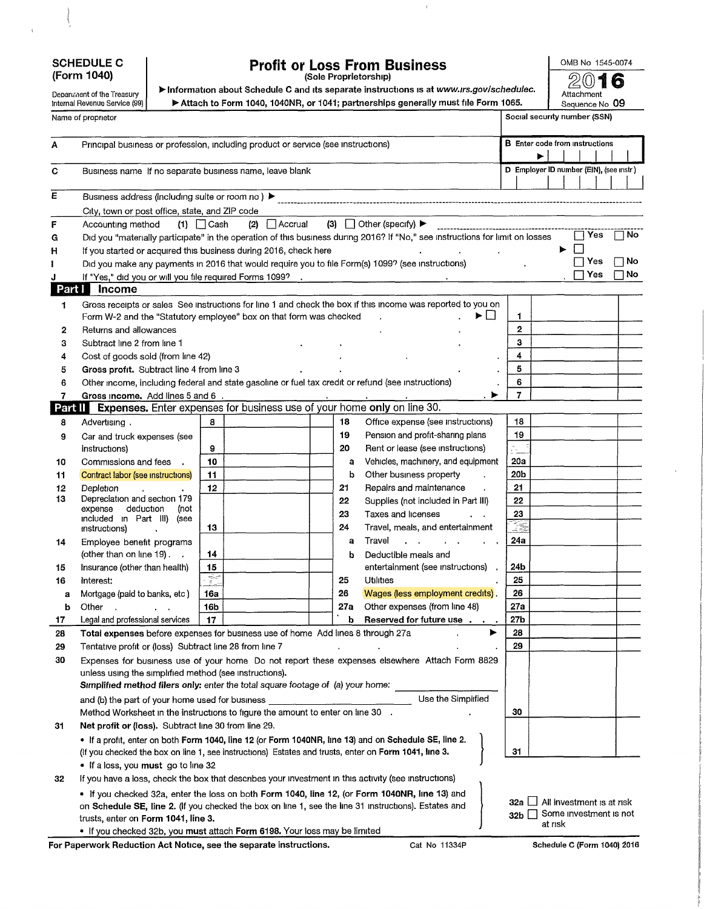## **SCHEDULE C (Form 1040)**

 $\overline{\phantom{a}}$ 

Ĭ.

Department of the Treasury Internal Revenue Service (99)

# **Profit or Loss From Business** (Sole Proprietorship)

OMBNo 1545-0074

 $\bar{\chi}$ 

► Information about Schedule C and its separate instructions is at *[www.irs.gov/schedulec.](http://www.irs.gov/schedulec)* ▶ Attach to Form 1040, 1040NR, or 1041; partnerships generally must file Form 1065.

**I® 16** Attachment Sequence No **09**

|                         | Name of proprietor                                                                                                                      |                                                                                                                       |     |                                                                                                                                                                              |                 |           | Social security number (SSN)            |           |  |  |  |
|-------------------------|-----------------------------------------------------------------------------------------------------------------------------------------|-----------------------------------------------------------------------------------------------------------------------|-----|------------------------------------------------------------------------------------------------------------------------------------------------------------------------------|-----------------|-----------|-----------------------------------------|-----------|--|--|--|
| А                       | Principal business or profession, including product or service (see instructions)                                                       |                                                                                                                       |     |                                                                                                                                                                              |                 |           | <b>B</b> Enter code from instructions   |           |  |  |  |
| С                       | Business name If no separate business name, leave blank                                                                                 |                                                                                                                       |     |                                                                                                                                                                              |                 |           | D Employer ID number (EIN), (see instr) |           |  |  |  |
| $\overline{\mathsf{E}}$ | Business address (including suite or room no) ▶                                                                                         |                                                                                                                       |     |                                                                                                                                                                              |                 |           |                                         |           |  |  |  |
|                         | City, town or post office, state, and ZIP code                                                                                          |                                                                                                                       |     |                                                                                                                                                                              |                 |           |                                         |           |  |  |  |
| F                       | Accounting method                                                                                                                       | $(2)$ Accrual<br>$(1)$ $\Box$ Cash                                                                                    |     | $(3)$ Other (specify) $\blacktriangleright$<br>Did you "materially participate" in the operation of this business during 2016? If "No," see instructions for limit on losses |                 |           | Yes                                     | ∏ No      |  |  |  |
| G<br>н                  | If you started or acquired this business during 2016, check here                                                                        |                                                                                                                       |     |                                                                                                                                                                              |                 | ▶         |                                         |           |  |  |  |
|                         | Did you make any payments in 2016 that would require you to file Form(s) 1099? (see instructions)                                       |                                                                                                                       |     |                                                                                                                                                                              |                 |           | Yes                                     | $\Box$ No |  |  |  |
| J                       | If "Yes," did you or will you file required Forms 1099?                                                                                 | <u> 1980 - Jan Barristo, martin de la provincia de la provincia de la provincia de la provincia de la provincia d</u> |     |                                                                                                                                                                              | Yes             | $\Box$ No |                                         |           |  |  |  |
| Part I                  | <b>Income</b>                                                                                                                           |                                                                                                                       |     |                                                                                                                                                                              |                 |           |                                         |           |  |  |  |
| 1                       | Form W-2 and the "Statutory employee" box on that form was checked                                                                      | Gross receipts or sales See instructions for line 1 and check the box if this income was reported to you on<br>▶□     | 1   |                                                                                                                                                                              |                 |           |                                         |           |  |  |  |
| 2                       | Returns and allowances                                                                                                                  |                                                                                                                       |     |                                                                                                                                                                              | $\mathbf{2}$    |           |                                         |           |  |  |  |
| 3                       | Subtract line 2 from line 1                                                                                                             |                                                                                                                       |     |                                                                                                                                                                              | з               |           |                                         |           |  |  |  |
| 4                       | Cost of goods sold (from line 42)                                                                                                       |                                                                                                                       |     |                                                                                                                                                                              | 4               |           |                                         |           |  |  |  |
| 5                       | Gross profit. Subtract line 4 from line 3                                                                                               |                                                                                                                       |     |                                                                                                                                                                              | 5               |           |                                         |           |  |  |  |
| 6                       | Other income, including federal and state gasoline or fuel tax credit or refund (see instructions)                                      |                                                                                                                       |     |                                                                                                                                                                              | 6               |           |                                         |           |  |  |  |
| 7<br>Part II            | Gross income. Add lines 5 and 6.                                                                                                        | <b>Expenses.</b> Enter expenses for business use of your home only on line 30.                                        |     |                                                                                                                                                                              | $\overline{7}$  |           |                                         |           |  |  |  |
| 8                       | Advertising.                                                                                                                            | 8                                                                                                                     | 18  | Office expense (see instructions)                                                                                                                                            | 18              |           |                                         |           |  |  |  |
| 9                       | Car and truck expenses (see                                                                                                             |                                                                                                                       | 19  | Pension and profit-sharing plans                                                                                                                                             | 19              |           |                                         |           |  |  |  |
|                         | instructions)                                                                                                                           | 9                                                                                                                     | 20  | Rent or lease (see instructions)                                                                                                                                             |                 |           |                                         |           |  |  |  |
| 10                      | Commissions and fees                                                                                                                    | 10                                                                                                                    | а   | Vehicles, machinery, and equipment                                                                                                                                           | 20a             |           |                                         |           |  |  |  |
| 11                      | Contract labor (see instructions)                                                                                                       | 11                                                                                                                    | b   | Other business property<br>$\ddot{\phantom{a}}$                                                                                                                              | 20b             |           |                                         |           |  |  |  |
| 12                      | Depletion                                                                                                                               | 12                                                                                                                    | 21  | Repairs and maintenance                                                                                                                                                      | 21              |           |                                         |           |  |  |  |
| 13                      | Depreciation and section 179<br>deduction<br>expense<br>(not                                                                            |                                                                                                                       | 22  | Supplies (not included in Part III)                                                                                                                                          | 22              |           |                                         |           |  |  |  |
|                         | included in Part III) (see                                                                                                              |                                                                                                                       | 23  | Taxes and licenses                                                                                                                                                           | 23              |           |                                         |           |  |  |  |
|                         | instructions)                                                                                                                           | 13                                                                                                                    | 24  | Travel, meals, and entertainment                                                                                                                                             | I.              |           |                                         |           |  |  |  |
| 14                      | Employee benefit programs                                                                                                               |                                                                                                                       | a   | Travel                                                                                                                                                                       | 24a             |           |                                         |           |  |  |  |
|                         | (other than on line 19). .                                                                                                              | 14                                                                                                                    | b   | Deductible meals and                                                                                                                                                         |                 |           |                                         |           |  |  |  |
| 15<br>16                | Insurance (other than health)<br>Interest:                                                                                              | 15<br>32                                                                                                              | 25  | entertainment (see instructions)<br>Utilities                                                                                                                                | 24b<br>25       |           |                                         |           |  |  |  |
| а                       | Mortgage (paid to banks, etc)                                                                                                           | 16a                                                                                                                   | 26  | Wages (less employment credits).                                                                                                                                             | 26              |           |                                         |           |  |  |  |
| b                       | Other                                                                                                                                   | 16b                                                                                                                   | 27а | Other expenses (from line 48)                                                                                                                                                | 27a             |           |                                         |           |  |  |  |
| 17                      | Legal and professional services                                                                                                         | 17                                                                                                                    | b   | Reserved for future use                                                                                                                                                      | 27 <sub>b</sub> |           |                                         |           |  |  |  |
| 28                      | Total expenses before expenses for business use of home Add lines 8 through 27a                                                         |                                                                                                                       |     |                                                                                                                                                                              | 28              |           |                                         |           |  |  |  |
| 29                      | Tentative profit or (loss) Subtract line 28 from line 7                                                                                 |                                                                                                                       |     |                                                                                                                                                                              | 29              |           |                                         |           |  |  |  |
| 30                      |                                                                                                                                         |                                                                                                                       |     | Expenses for business use of your home Do not report these expenses elsewhere Attach Form 8829                                                                               |                 |           |                                         |           |  |  |  |
|                         | unless using the simplified method (see instructions).                                                                                  |                                                                                                                       |     |                                                                                                                                                                              |                 |           |                                         |           |  |  |  |
|                         | Simplified method filers only: enter the total square footage of (a) your home:                                                         |                                                                                                                       |     |                                                                                                                                                                              |                 |           |                                         |           |  |  |  |
|                         | and (b) the part of your home used for business                                                                                         |                                                                                                                       |     | Use the Simplified                                                                                                                                                           |                 |           |                                         |           |  |  |  |
|                         | Method Worksheet in the instructions to figure the amount to enter on line 30 .<br>Net profit or (loss). Subtract line 30 from line 29. |                                                                                                                       |     |                                                                                                                                                                              | 30              |           |                                         |           |  |  |  |
| 31                      | . If a profit, enter on both Form 1040, line 12 (or Form 1040NR, line 13) and on Schedule SE, line 2.                                   |                                                                                                                       |     |                                                                                                                                                                              |                 |           |                                         |           |  |  |  |
|                         | (If you checked the box on line 1, see instructions) Estates and trusts, enter on Form 1041, line 3.                                    |                                                                                                                       |     |                                                                                                                                                                              | 31              |           |                                         |           |  |  |  |
|                         | . If a loss, you must go to line 32                                                                                                     |                                                                                                                       |     |                                                                                                                                                                              |                 |           |                                         |           |  |  |  |
| 32                      | If you have a loss, check the box that describes your investment in this activity (see instructions)                                    |                                                                                                                       |     |                                                                                                                                                                              |                 |           |                                         |           |  |  |  |
|                         | • If you checked 32a, enter the loss on both Form 1040, line 12, (or Form 1040NR, line 13) and                                          |                                                                                                                       |     |                                                                                                                                                                              |                 |           |                                         |           |  |  |  |
|                         | on Schedule SE, line 2. (If you checked the box on line 1, see the line 31 instructions). Estates and                                   |                                                                                                                       |     |                                                                                                                                                                              | 32a             |           | All investment is at risk               |           |  |  |  |
|                         | trusts, enter on Form 1041, line 3.                                                                                                     |                                                                                                                       |     |                                                                                                                                                                              | 32b             | at rısk   | Some investment is not                  |           |  |  |  |
|                         | . If you checked 32b, you must attach Form 6198. Your loss may be limited                                                               |                                                                                                                       |     |                                                                                                                                                                              |                 |           |                                         |           |  |  |  |

For Paperwork Reduction Act Notice, see the separate instructions. Cat No 11334P Schedule C (Form 1040) 2016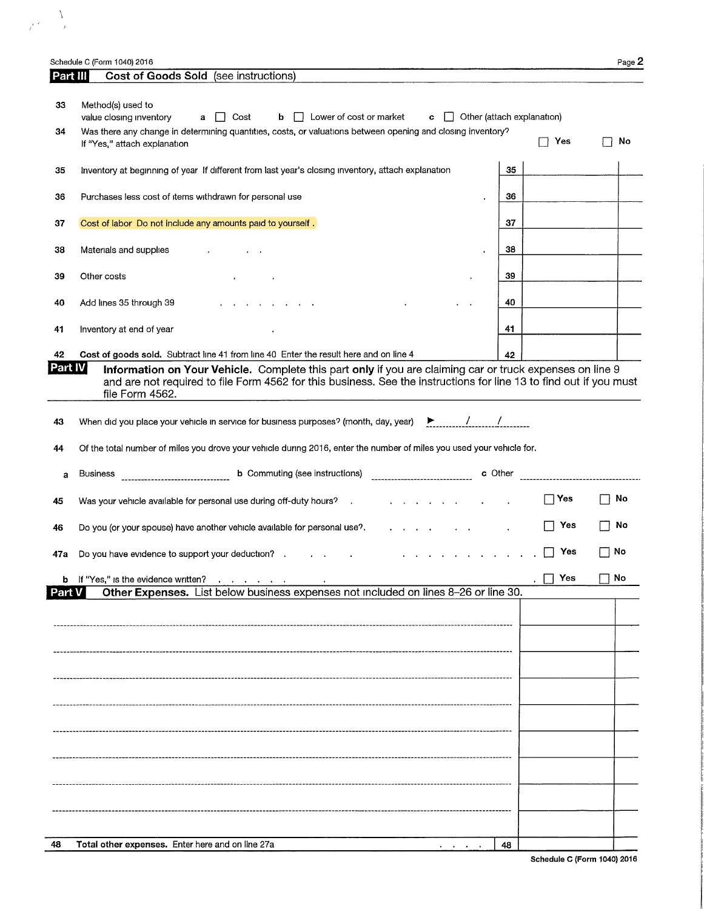|          | Schedule C (Form 1040) 2016                                                                                                                                                                                                                       |    |                                                    | Page 2 |
|----------|---------------------------------------------------------------------------------------------------------------------------------------------------------------------------------------------------------------------------------------------------|----|----------------------------------------------------|--------|
| Part III | Cost of Goods Sold (see instructions)                                                                                                                                                                                                             |    |                                                    |        |
| 33       | Method(s) used to<br>value closing inventory<br>Cost<br>$\mathbf{b}$   Lower of cost or market<br>$\mathbf{c}$ $\Box$ Other (attach explanation)<br>a                                                                                             |    |                                                    |        |
| 34       | Was there any change in determining quantities, costs, or valuations between opening and closing inventory?<br>If "Yes," attach explanation                                                                                                       |    | Yes                                                | No     |
| 35       | Inventory at beginning of year If different from last year's closing inventory, attach explanation                                                                                                                                                | 35 |                                                    |        |
| 36       | Purchases less cost of items withdrawn for personal use                                                                                                                                                                                           | 36 |                                                    |        |
| 37       | Cost of labor Do not include any amounts paid to yourself.                                                                                                                                                                                        | 37 |                                                    |        |
| 38       | Materials and supplies                                                                                                                                                                                                                            | 38 |                                                    |        |
| 39       | Other costs                                                                                                                                                                                                                                       | 39 |                                                    |        |
| 40       | Add lines 35 through 39                                                                                                                                                                                                                           | 40 |                                                    |        |
| 41       | Inventory at end of year                                                                                                                                                                                                                          | 41 |                                                    |        |
| 42       | Cost of goods sold. Subtract line 41 from line 40 Enter the result here and on line 4                                                                                                                                                             | 42 |                                                    |        |
| Part IVI | Information on Your Vehicle. Complete this part only if you are claiming car or truck expenses on line 9<br>and are not required to file Form 4562 for this business. See the instructions for line 13 to find out if you must<br>file Form 4562. |    |                                                    |        |
| 43       | When did you place your vehicle in service for business purposes? (month, day, year) $\rightarrow$ /                                                                                                                                              |    |                                                    |        |
| 44       | Of the total number of miles you drove your vehicle during 2016, enter the number of miles you used your vehicle for.                                                                                                                             |    |                                                    |        |
| a        | <b>b</b> Commuting (see instructions)<br><b>Business</b>                                                                                                                                                                                          |    | c Other <sub>-------------------------------</sub> |        |
| 45       | Was your vehicle available for personal use during off-duty hours? .                                                                                                                                                                              |    | $\Box$ Yes                                         | No     |
| 46       | Do you (or your spouse) have another vehicle available for personal use?.                                                                                                                                                                         |    | Yes                                                | No     |
| 47a      | Do you have evidence to support your deduction? .<br>$\mathbf{r} = \mathbf{r} \cdot \mathbf{r}$                                                                                                                                                   |    | Yes                                                | No     |
|          | b If "Yes," is the evidence written?                                                                                                                                                                                                              |    | Yes                                                | No     |
| Part V   | Other Expenses. List below business expenses not included on lines 8-26 or line 30.                                                                                                                                                               |    |                                                    |        |
|          |                                                                                                                                                                                                                                                   |    |                                                    |        |
|          |                                                                                                                                                                                                                                                   |    |                                                    |        |
|          |                                                                                                                                                                                                                                                   |    |                                                    |        |
|          |                                                                                                                                                                                                                                                   |    |                                                    |        |
|          |                                                                                                                                                                                                                                                   |    |                                                    |        |
|          |                                                                                                                                                                                                                                                   |    |                                                    |        |
|          |                                                                                                                                                                                                                                                   |    |                                                    |        |
|          |                                                                                                                                                                                                                                                   |    |                                                    |        |
|          |                                                                                                                                                                                                                                                   |    |                                                    |        |
|          |                                                                                                                                                                                                                                                   |    |                                                    |        |
|          |                                                                                                                                                                                                                                                   |    |                                                    |        |
|          |                                                                                                                                                                                                                                                   |    |                                                    |        |
| 48       | Total other expenses. Enter here and on line 27a                                                                                                                                                                                                  | 48 |                                                    |        |
|          |                                                                                                                                                                                                                                                   |    |                                                    |        |

 $\label{eq:2} \frac{1}{\sqrt{2\pi}}\sum_{i=1}^{N} \frac{1}{2\pi i} \sum_{j=1}^{N} \frac{1}{2\pi i} \sum_{j=1}^{N} \frac{1}{2\pi i} \sum_{j=1}^{N} \frac{1}{2\pi i} \sum_{j=1}^{N} \frac{1}{2\pi i} \sum_{j=1}^{N} \frac{1}{2\pi i} \sum_{j=1}^{N} \frac{1}{2\pi i} \sum_{j=1}^{N} \frac{1}{2\pi i} \sum_{j=1}^{N} \frac{1}{2\pi i} \sum_{j=1}^{N} \frac{1}{2\pi i} \$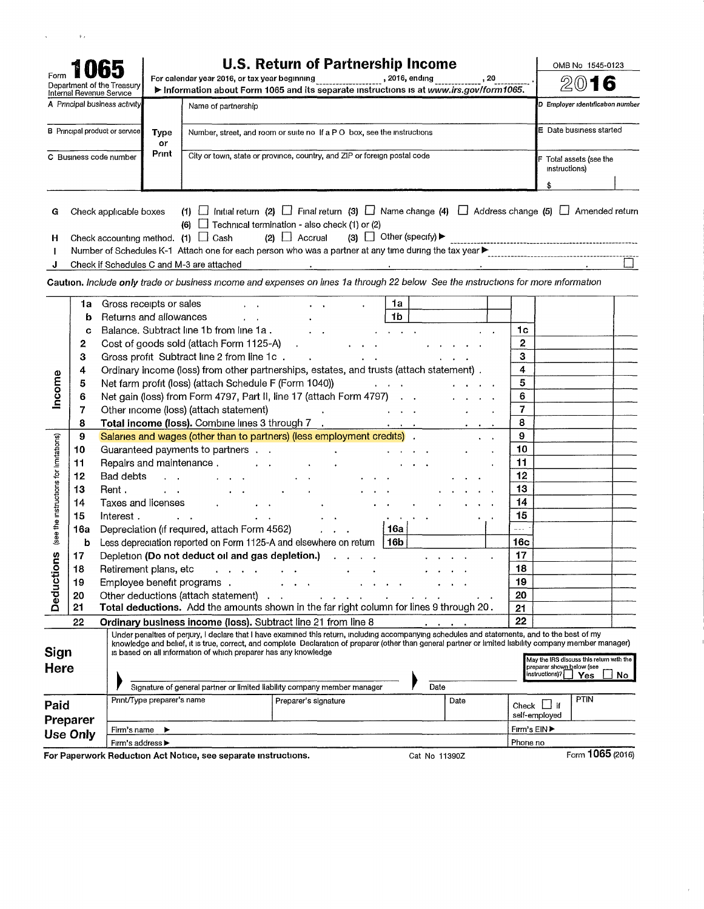|                                        |                                            |                                                                                   |                            |                                                                                                                                                                                                                                                                                                                                                                                                                                                           | <b>U.S. Return of Partnership Income</b>                  |                                                                         |                                                 |                                                   | OMB No 1545-0123                                                                                        |                  |
|----------------------------------------|--------------------------------------------|-----------------------------------------------------------------------------------|----------------------------|-----------------------------------------------------------------------------------------------------------------------------------------------------------------------------------------------------------------------------------------------------------------------------------------------------------------------------------------------------------------------------------------------------------------------------------------------------------|-----------------------------------------------------------|-------------------------------------------------------------------------|-------------------------------------------------|---------------------------------------------------|---------------------------------------------------------------------------------------------------------|------------------|
| Form                                   |                                            | Department of the Treasury<br>Internal Revenue Service                            |                            | For calendar year 2016, or tax year beginning ___________________, 2016, ending _____________<br>Information about Form 1065 and its separate instructions is at www.irs.gov/form1065.                                                                                                                                                                                                                                                                    |                                                           |                                                                         |                                                 |                                                   | 20                                                                                                      |                  |
|                                        |                                            | A Principal business activity                                                     |                            | Name of partnership                                                                                                                                                                                                                                                                                                                                                                                                                                       |                                                           |                                                                         |                                                 |                                                   | D Employer identification number                                                                        |                  |
|                                        |                                            | <b>B</b> Principal product or service                                             | <b>Type</b><br>or          | Number, street, and room or suite no If a PO box, see the instructions                                                                                                                                                                                                                                                                                                                                                                                    |                                                           |                                                                         |                                                 |                                                   | E Date business started                                                                                 |                  |
|                                        |                                            | C Business code number                                                            | Print                      | City or town, state or province, country, and ZIP or foreign postal code                                                                                                                                                                                                                                                                                                                                                                                  |                                                           |                                                                         |                                                 |                                                   | F Total assets (see the<br>instructions)                                                                |                  |
|                                        |                                            |                                                                                   |                            |                                                                                                                                                                                                                                                                                                                                                                                                                                                           |                                                           |                                                                         |                                                 |                                                   | \$                                                                                                      |                  |
| G<br>H<br>п<br>J                       |                                            | Check applicable boxes                                                            |                            | (1) $\Box$ Initial return (2) $\Box$ Final return (3) $\Box$ Name change (4) $\Box$ Address change (5) $\Box$ Amended return<br>(6) $\Box$ Technical termination - also check (1) or (2)<br>Check accounting method. $(1)$ $\Box$ Cash<br>Check if Schedules C and M-3 are attached<br>Caution. Include only trade or business income and expenses on lines 1a through 22 below See the instructions for more information                                 | $(2)$ $\Box$ Accrual<br><b>Contract Contract Contract</b> | (3) $\Box$ Other (specify) $\blacktriangleright$                        | service and the control of the                  |                                                   |                                                                                                         |                  |
| Income                                 | 1a<br>b<br>C<br>2<br>3<br>4<br>5<br>6<br>7 | Gross receipts or sales<br>Returns and allowances                                 |                            | Balance. Subtract line 1b from line 1a.<br>Cost of goods sold (attach Form 1125-A)<br>Gross profit Subtract line 2 from line 1c.<br>Ordinary income (loss) from other partnerships, estates, and trusts (attach statement).<br>Net farm profit (loss) (attach Schedule F (Form 1040))<br>Net gain (loss) from Form 4797, Part II, line 17 (attach Form 4797)<br>Other income (loss) (attach statement)                                                    | $\ddot{\phantom{a}}$                                      | 1a<br>1 <sub>b</sub><br>$\ddot{\phantom{a}}$<br>and a state of the con- | the contract of the contract of the contract of | 1c<br>2<br>3<br>4<br>5<br>6<br>7                  |                                                                                                         |                  |
|                                        | 8<br>9                                     |                                                                                   |                            | Salaries and wages (other than to partners) (less employment credits) .                                                                                                                                                                                                                                                                                                                                                                                   |                                                           |                                                                         |                                                 | 8<br>9                                            |                                                                                                         |                  |
| (see the instructions for limitations) | 10<br>11<br>12<br>13<br>14<br>15<br>16a    | Repairs and maintenance.<br>Bad debts<br>Rent,<br>Taxes and licenses<br>Interest. |                            | Guaranteed payments to partners<br>Depreciation (if required, attach Form 4562)                                                                                                                                                                                                                                                                                                                                                                           | $\mathbf{r}$ $\mathbf{r}$ $\mathbf{r}$                    | 16a l                                                                   |                                                 | 10<br>11<br>12<br>13<br>14<br>15<br>$\frac{1}{2}$ |                                                                                                         |                  |
|                                        | b                                          |                                                                                   |                            | Less depreciation reported on Form 1125-A and elsewhere on return $ 16b $                                                                                                                                                                                                                                                                                                                                                                                 |                                                           |                                                                         |                                                 | 16 <sub>c</sub>                                   |                                                                                                         |                  |
| ons<br><b>Deducti</b>                  | 17<br>18<br>19<br>20<br>21                 |                                                                                   |                            | Depletion (Do not deduct oil and gas depletion.)<br>Retirement plans, etc contains a contact that is a contact of the contact of the contact of the contact of the<br>Employee benefit programs.<br>Other deductions (attach statement)<br>Total deductions. Add the amounts shown in the far right column for lines 9 through 20.                                                                                                                        |                                                           |                                                                         |                                                 | 17<br>18<br>19<br>20<br>21                        |                                                                                                         |                  |
|                                        | 22                                         |                                                                                   |                            | Ordinary business income (loss). Subtract line 21 from line 8                                                                                                                                                                                                                                                                                                                                                                                             |                                                           |                                                                         |                                                 | 22                                                |                                                                                                         |                  |
| Sign<br><b>Here</b>                    |                                            |                                                                                   |                            | Under penalties of perjury, I declare that I have examined this return, including accompanying schedules and statements, and to the best of my<br>knowledge and belief, it is true, correct, and complete Declaration of preparer (other than general partner or limited liability company member manager)<br>is based on all information of which preparer has any knowledge<br>Signature of general partner or limited liability company member manager |                                                           |                                                                         | Date                                            |                                                   | May the IRS discuss this return with the<br>preparer shown below (see<br>instructions)?  <br><b>Yes</b> | No.              |
| Paid                                   |                                            |                                                                                   | Print/Type preparer's name |                                                                                                                                                                                                                                                                                                                                                                                                                                                           | Preparer's signature                                      |                                                                         | Date                                            |                                                   | <b>PTIN</b><br>Check $\Box$ if                                                                          |                  |
|                                        | Preparer                                   |                                                                                   |                            |                                                                                                                                                                                                                                                                                                                                                                                                                                                           |                                                           |                                                                         |                                                 |                                                   | self-employed                                                                                           |                  |
|                                        | <b>Use Only</b>                            | Firm's name                                                                       | ▸                          |                                                                                                                                                                                                                                                                                                                                                                                                                                                           |                                                           |                                                                         |                                                 | Firm's EIN ▶                                      |                                                                                                         |                  |
|                                        |                                            | Firm's address ▶                                                                  |                            |                                                                                                                                                                                                                                                                                                                                                                                                                                                           |                                                           |                                                                         |                                                 | Phone no                                          |                                                                                                         |                  |
|                                        |                                            |                                                                                   |                            | For Paperwork Reduction Act Notice, see separate instructions.                                                                                                                                                                                                                                                                                                                                                                                            |                                                           |                                                                         | Cat No 11390Z                                   |                                                   |                                                                                                         | Form 1065 (2016) |

 $\hat{\mathbf{r}}$ 

 $\sim$   $\lambda$ 

 $\zeta^{\pm}$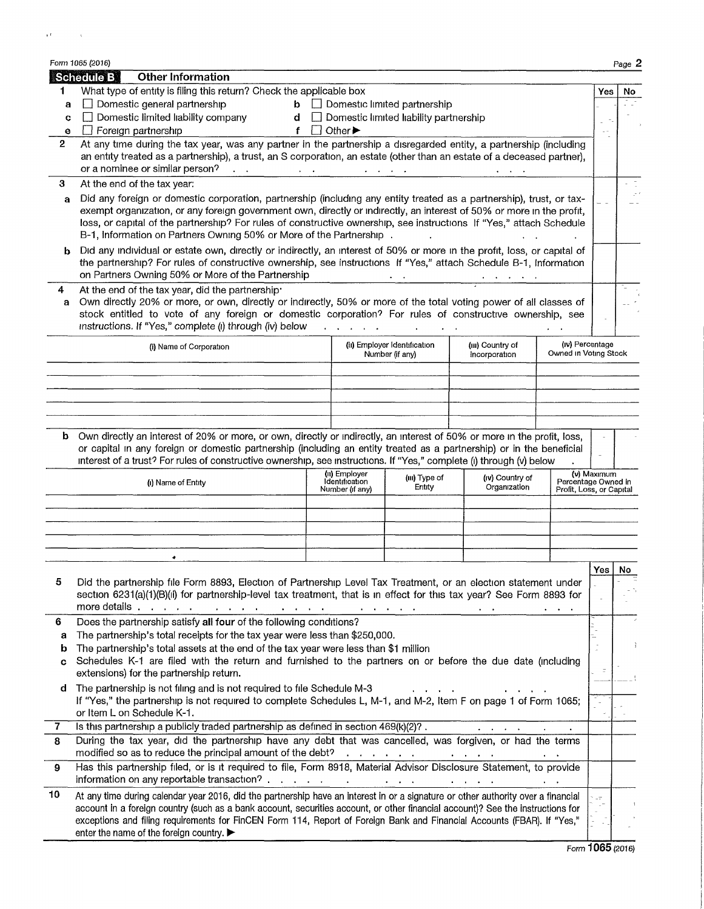|              | Form 1065 (2016)  |                                                                                                                                                                                                                                              |                |                                 |                                                                    |                                                                  |                          |             | Page 2 |
|--------------|-------------------|----------------------------------------------------------------------------------------------------------------------------------------------------------------------------------------------------------------------------------------------|----------------|---------------------------------|--------------------------------------------------------------------|------------------------------------------------------------------|--------------------------|-------------|--------|
|              | <b>Schedule B</b> | <b>Other Information</b>                                                                                                                                                                                                                     |                |                                 |                                                                    |                                                                  |                          |             |        |
| 1.           |                   | What type of entity is filing this return? Check the applicable box                                                                                                                                                                          |                |                                 |                                                                    |                                                                  |                          | Yes         | No     |
| a            |                   | $\Box$ Domestic general partnership<br>□ Domestic limited liability company                                                                                                                                                                  |                |                                 | $\mathbf{b}$ $\Box$ Domestic limited partnership                   |                                                                  |                          |             |        |
| C<br>e       |                   | $\Box$ Foreign partnership                                                                                                                                                                                                                   | $f \Box$ Other |                                 | $d$ $\Box$ Domestic limited liability partnership                  |                                                                  |                          |             |        |
| $\mathbf{2}$ |                   | At any time during the tax year, was any partner in the partnership a disregarded entity, a partnership (including                                                                                                                           |                |                                 |                                                                    |                                                                  |                          |             |        |
|              |                   | an entity treated as a partnership), a trust, an S corporation, an estate (other than an estate of a deceased partner),                                                                                                                      |                |                                 |                                                                    |                                                                  |                          |             |        |
|              |                   | or a nominee or similar person?<br>$\mathbf{r}=\mathbf{r}$                                                                                                                                                                                   |                |                                 | $\mathbf{a} = \mathbf{a} + \mathbf{a} + \mathbf{a} + \mathbf{a}$ . | $\mathbf{r} = \mathbf{r} + \mathbf{r}$ , where                   |                          |             |        |
| 3            |                   | At the end of the tax year:                                                                                                                                                                                                                  |                |                                 |                                                                    |                                                                  |                          |             |        |
| a            |                   | Did any foreign or domestic corporation, partnership (including any entity treated as a partnership), trust, or tax-                                                                                                                         |                |                                 |                                                                    |                                                                  |                          |             |        |
|              |                   | exempt organization, or any foreign government own, directly or indirectly, an interest of 50% or more in the profit,                                                                                                                        |                |                                 |                                                                    |                                                                  |                          |             |        |
|              |                   | loss, or capital of the partnership? For rules of constructive ownership, see instructions If "Yes," attach Schedule                                                                                                                         |                |                                 |                                                                    |                                                                  |                          |             |        |
|              |                   | B-1, Information on Partners Owning 50% or More of the Partnership.                                                                                                                                                                          |                |                                 |                                                                    |                                                                  |                          |             |        |
| b            |                   | Did any individual or estate own, directly or indirectly, an interest of 50% or more in the profit, loss, or capital of<br>the partnership? For rules of constructive ownership, see instructions If "Yes," attach Schedule B-1, Information |                |                                 |                                                                    |                                                                  |                          |             |        |
|              |                   | on Partners Owning 50% or More of the Partnership                                                                                                                                                                                            |                |                                 |                                                                    |                                                                  |                          |             |        |
| 4            |                   | At the end of the tax year, did the partnership                                                                                                                                                                                              |                |                                 |                                                                    |                                                                  |                          |             |        |
| a            |                   | Own directly 20% or more, or own, directly or indirectly, 50% or more of the total voting power of all classes of                                                                                                                            |                |                                 |                                                                    |                                                                  |                          |             |        |
|              |                   | stock entitled to vote of any foreign or domestic corporation? For rules of constructive ownership, see                                                                                                                                      |                |                                 |                                                                    |                                                                  |                          |             |        |
|              |                   | instructions. If "Yes," complete (i) through (iv) below                                                                                                                                                                                      |                | and a state of the              |                                                                    |                                                                  |                          |             |        |
|              |                   | (i) Name of Corporation                                                                                                                                                                                                                      |                |                                 | (ii) Employer Identification                                       | (III) Country of                                                 | (iv) Percentage          |             |        |
|              |                   |                                                                                                                                                                                                                                              |                |                                 | Number (if any)                                                    | Incorporation                                                    | Owned in Voting Stock    |             |        |
|              |                   |                                                                                                                                                                                                                                              |                |                                 |                                                                    |                                                                  |                          |             |        |
|              |                   |                                                                                                                                                                                                                                              |                |                                 |                                                                    |                                                                  |                          |             |        |
|              |                   |                                                                                                                                                                                                                                              |                |                                 |                                                                    |                                                                  |                          |             |        |
|              |                   |                                                                                                                                                                                                                                              |                |                                 |                                                                    |                                                                  |                          |             |        |
|              |                   | <b>b</b> Own directly an interest of 20% or more, or own, directly or indirectly, an interest of 50% or more in the profit, loss,                                                                                                            |                |                                 |                                                                    |                                                                  |                          |             |        |
|              |                   | or capital in any foreign or domestic partnership (including an entity treated as a partnership) or in the beneficial                                                                                                                        |                |                                 |                                                                    |                                                                  |                          |             |        |
|              |                   | interest of a trust? For rules of constructive ownership, see instructions. If "Yes," complete (i) through (v) below                                                                                                                         |                |                                 |                                                                    |                                                                  |                          |             |        |
|              |                   | (i) Name of Entity                                                                                                                                                                                                                           |                | (ii) Employer<br>Identification | (III) Type of<br>Entity                                            | (iv) Country of<br>Organization                                  | Percentage Owned in      | (v) Maximum |        |
|              |                   |                                                                                                                                                                                                                                              |                | Number (if any)                 |                                                                    |                                                                  | Profit, Loss, or Capital |             |        |
|              |                   |                                                                                                                                                                                                                                              |                |                                 |                                                                    |                                                                  |                          |             |        |
|              |                   |                                                                                                                                                                                                                                              |                |                                 |                                                                    |                                                                  |                          |             |        |
|              |                   |                                                                                                                                                                                                                                              |                |                                 |                                                                    |                                                                  |                          |             |        |
|              |                   | ٠                                                                                                                                                                                                                                            |                |                                 |                                                                    |                                                                  |                          |             |        |
|              |                   |                                                                                                                                                                                                                                              |                |                                 |                                                                    |                                                                  |                          | Yes   No    |        |
| 5            |                   | Did the partnership file Form 8893, Election of Partnership Level Tax Treatment, or an election statement under                                                                                                                              |                |                                 |                                                                    |                                                                  |                          |             |        |
|              |                   | section 6231(a)(1)(B)(ii) for partnership-level tax treatment, that is in effect for this tax year? See Form 8893 for                                                                                                                        |                |                                 |                                                                    |                                                                  |                          |             |        |
|              |                   | Does the partnership satisfy all four of the following conditions?                                                                                                                                                                           |                |                                 |                                                                    |                                                                  |                          |             |        |
| 6<br>a       |                   | The partnership's total receipts for the tax year were less than \$250,000.                                                                                                                                                                  |                |                                 |                                                                    |                                                                  |                          |             |        |
| b            |                   | The partnership's total assets at the end of the tax year were less than \$1 million                                                                                                                                                         |                |                                 |                                                                    |                                                                  |                          |             |        |
| c            |                   | Schedules K-1 are filed with the return and furnished to the partners on or before the due date (including                                                                                                                                   |                |                                 |                                                                    |                                                                  |                          |             |        |
|              |                   | extensions) for the partnership return.                                                                                                                                                                                                      |                |                                 |                                                                    |                                                                  |                          |             |        |
| d            |                   | The partnership is not filing and is not required to file Schedule M-3                                                                                                                                                                       |                |                                 |                                                                    |                                                                  |                          |             |        |
|              |                   | If "Yes," the partnership is not required to complete Schedules L, M-1, and M-2, Item F on page 1 of Form 1065;                                                                                                                              |                |                                 |                                                                    |                                                                  |                          |             |        |
|              |                   | or Item L on Schedule K-1.                                                                                                                                                                                                                   |                |                                 |                                                                    |                                                                  |                          |             |        |
| 7            |                   | Is this partnership a publicly traded partnership as defined in section 469(k)(2)?.                                                                                                                                                          |                |                                 |                                                                    | $\mathbf{r} = \mathbf{r} + \mathbf{r} + \mathbf{r} + \mathbf{r}$ |                          |             |        |
| 8            |                   | During the tax year, did the partnership have any debt that was cancelled, was forgiven, or had the terms<br>modified so as to reduce the principal amount of the debt?                                                                      |                |                                 |                                                                    | and the contract of the                                          |                          |             |        |
| 9            |                   | Has this partnership filed, or is it required to file, Form 8918, Material Advisor Disclosure Statement, to provide                                                                                                                          |                |                                 |                                                                    |                                                                  |                          |             |        |
|              |                   |                                                                                                                                                                                                                                              |                |                                 |                                                                    |                                                                  |                          |             |        |
| 10           |                   | At any time during calendar year 2016, did the partnership have an interest in or a signature or other authority over a financial                                                                                                            |                |                                 |                                                                    |                                                                  |                          | Ц÷,         |        |
|              |                   | account in a foreign country (such as a bank account, securities account, or other financial account)? See the instructions for                                                                                                              |                |                                 |                                                                    |                                                                  |                          |             |        |
|              |                   | exceptions and filing requirements for FinCEN Form 114, Report of Foreign Bank and Financial Accounts (FBAR). If "Yes,"                                                                                                                      |                |                                 |                                                                    |                                                                  |                          |             |        |
|              |                   | enter the name of the foreign country. ▶                                                                                                                                                                                                     |                |                                 |                                                                    |                                                                  |                          |             |        |

 $\mathcal{A}^{(f)}$  and  $\mathcal{A}^{(f)}$ 

*Form* **1065** (2016)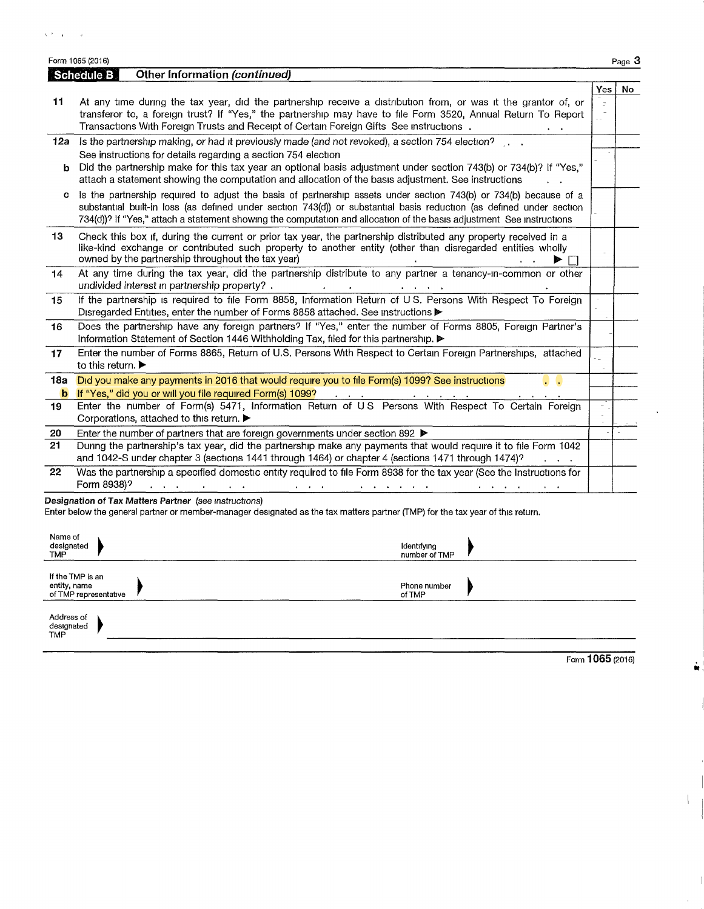Form 1065 (2016) Page **3**

|            | <b>Other Information (continued)</b><br>Schedule B                                                                                                                                                                                                                                                                                                                 |           |     |
|------------|--------------------------------------------------------------------------------------------------------------------------------------------------------------------------------------------------------------------------------------------------------------------------------------------------------------------------------------------------------------------|-----------|-----|
|            |                                                                                                                                                                                                                                                                                                                                                                    | Yes       | No. |
| 11         | At any time during the tax year, did the partnership receive a distribution from, or was it the grantor of, or<br>transferor to, a foreign trust? If "Yes," the partnership may have to file Form 3520, Annual Return To Report<br>Transactions With Foreign Trusts and Receipt of Certain Foreign Gifts See instructions.                                         | $\bar{z}$ |     |
| 12a        | Is the partnership making, or had it previously made (and not revoked), a section 754 election?                                                                                                                                                                                                                                                                    |           |     |
| b.         | See instructions for details regarding a section 754 election<br>Did the partnership make for this tax year an optional basis adjustment under section 743(b) or 734(b)? If "Yes,"<br>attach a statement showing the computation and allocation of the basis adjustment. See instructions                                                                          |           |     |
| c          | Is the partnership required to adjust the basis of partnership assets under section 743(b) or 734(b) because of a<br>substantial built-in loss (as defined under section 743(d)) or substantial basis reduction (as defined under section<br>734(d))? If "Yes," attach a statement showing the computation and allocation of the basis adjustment See instructions |           |     |
| 13         | Check this box if, during the current or prior tax year, the partnership distributed any property received in a<br>like-kind exchange or contributed such property to another entity (other than disregarded entities wholly<br>owned by the partnership throughout the tax year)                                                                                  |           |     |
| 14         | At any time during the tax year, did the partnership distribute to any partner a tenancy-in-common or other<br>undivided interest in partnership property?.                                                                                                                                                                                                        |           |     |
| 15         | If the partnership is required to file Form 8858, Information Return of U S. Persons With Respect To Foreign<br>Disregarded Entities, enter the number of Forms 8858 attached. See instructions ▶                                                                                                                                                                  |           |     |
| 16         | Does the partnership have any foreign partners? If "Yes," enter the number of Forms 8805, Foreign Partner's<br>Information Statement of Section 1446 Withholding Tax, filed for this partnership.                                                                                                                                                                  |           |     |
| 17         | Enter the number of Forms 8865, Return of U.S. Persons With Respect to Certain Foreign Partnerships, attached<br>to this return.                                                                                                                                                                                                                                   |           |     |
| <b>18a</b> | Did you make any payments in 2016 that would require you to file Form(s) 1099? See instructions                                                                                                                                                                                                                                                                    |           |     |
| b          | If "Yes," did you or will you file required Form(s) 1099?                                                                                                                                                                                                                                                                                                          |           |     |
| 19         | Enter the number of Form(s) 5471, Information Return of US Persons With Respect To Certain Foreign<br>Corporations, attached to this return. ▶                                                                                                                                                                                                                     |           |     |
| 20         | Enter the number of partners that are foreign governments under section 892 ▶                                                                                                                                                                                                                                                                                      |           |     |
| 21         | During the partnership's tax year, did the partnership make any payments that would require it to file Form 1042<br>and 1042-S under chapter 3 (sections 1441 through 1464) or chapter 4 (sections 1471 through 1474)?                                                                                                                                             |           |     |
| 22         | Was the partnership a specified domestic entity required to file Form 8938 for the tax year (See the Instructions for<br>Form 8938)?<br>$\alpha$ , and $\alpha$ , and $\alpha$                                                                                                                                                                                     |           |     |

| Name of<br>designated<br><b>TMP</b>                       | Identifying<br>number of TMP |
|-----------------------------------------------------------|------------------------------|
| If the TMP is an<br>entity, name<br>of TMP representative | Phone number<br>of TMP       |
| Address of<br>designated<br><b>TMP</b>                    |                              |

Form 1065(2016)

M

I

 $\mathbf{L}$ 

 $\overline{\phantom{a}}$ 

 $\hat{\mathbf{r}}$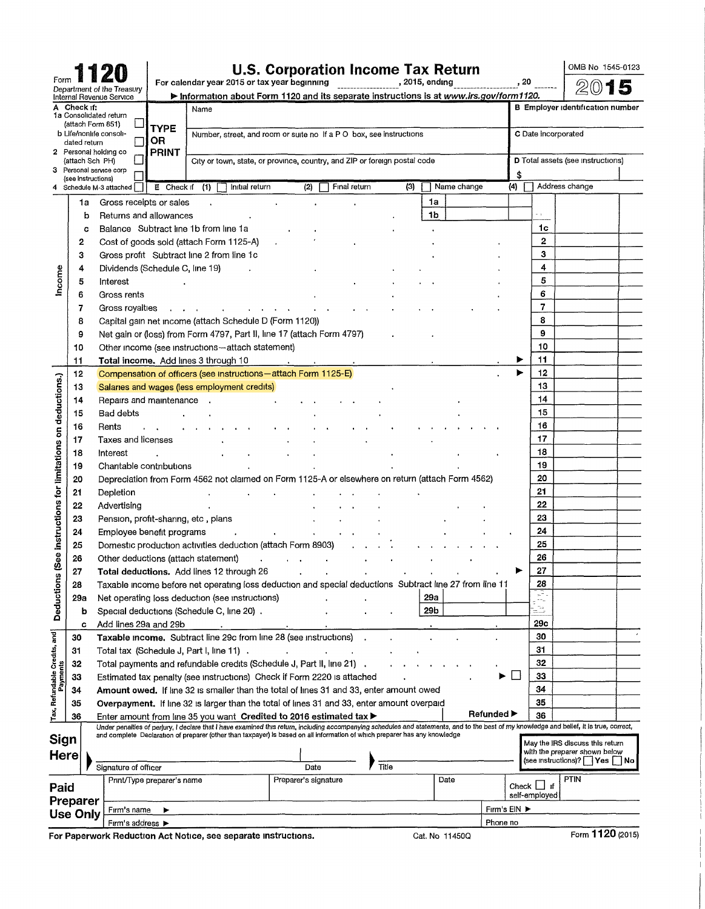|                                                   |             |                    |                                 |                            |                                                                                                                                                                                                                                                                  | <b>U.S. Corporation Income Tax Return</b>                                 |              |                |                |              |                                  | OMB No 1545-0123                                                 |  |
|---------------------------------------------------|-------------|--------------------|---------------------------------|----------------------------|------------------------------------------------------------------------------------------------------------------------------------------------------------------------------------------------------------------------------------------------------------------|---------------------------------------------------------------------------|--------------|----------------|----------------|--------------|----------------------------------|------------------------------------------------------------------|--|
|                                                   |             |                    | Department of the Treasury      |                            | For calendar year 2015 or tax year beginning                                                                                                                                                                                                                     |                                                                           |              | , 2015, endıng |                |              | , 20                             |                                                                  |  |
|                                                   |             |                    | Internal Revenue Service        |                            | Information about Form 1120 and its separate instructions is at www.irs.gov/form1120.                                                                                                                                                                            |                                                                           |              |                |                |              |                                  |                                                                  |  |
|                                                   | A Check it: |                    | 1a Consolidated return          |                            | Name                                                                                                                                                                                                                                                             |                                                                           |              |                |                |              |                                  | <b>B</b> Employer identification number                          |  |
|                                                   |             | (attach Form 851)  |                                 | <b>TYPE</b>                |                                                                                                                                                                                                                                                                  |                                                                           |              |                |                |              |                                  |                                                                  |  |
|                                                   |             | dated return       | b Life/nonlife consoli-         | OR                         |                                                                                                                                                                                                                                                                  | Number, street, and room or suite no If a PO box, see instructions        |              |                |                |              | C Date incorporated              |                                                                  |  |
|                                                   |             | (attach Sch-PH)    | 2 Personal holding co           | <b>PRINT</b>               |                                                                                                                                                                                                                                                                  | City or town, state, or province, country, and ZIP or foreign postal code |              |                |                |              |                                  | D Total assets (see instructions)                                |  |
| з                                                 |             |                    | Personal service corp           |                            |                                                                                                                                                                                                                                                                  |                                                                           |              |                |                | \$           |                                  |                                                                  |  |
|                                                   |             | (see instructions) | Schedule M-3 attached           | $E$ Check if $(1)$         | Initial return                                                                                                                                                                                                                                                   | (2)                                                                       | Final return | (3)            | Name change    | (4)          |                                  | Address change                                                   |  |
|                                                   |             | 1a                 | Gross receipts or sales         |                            |                                                                                                                                                                                                                                                                  |                                                                           |              |                | 1a             |              |                                  |                                                                  |  |
|                                                   |             | b                  | Returns and allowances          |                            |                                                                                                                                                                                                                                                                  |                                                                           |              | 1b             |                |              |                                  |                                                                  |  |
|                                                   |             | с                  |                                 |                            | Balance Subtract line 1b from line 1a                                                                                                                                                                                                                            |                                                                           |              |                |                |              | 1c                               |                                                                  |  |
|                                                   | 2           |                    |                                 |                            | Cost of goods sold (attach Form 1125-A)                                                                                                                                                                                                                          |                                                                           |              |                |                |              | 2                                |                                                                  |  |
|                                                   | 3           |                    |                                 |                            | Gross profit Subtract line 2 from line 1c                                                                                                                                                                                                                        |                                                                           |              |                |                |              | 3                                |                                                                  |  |
|                                                   | 4           |                    | Dividends (Schedule C, line 19) |                            |                                                                                                                                                                                                                                                                  |                                                                           |              |                |                |              | 4                                |                                                                  |  |
| Income                                            | 5           |                    | Interest                        |                            |                                                                                                                                                                                                                                                                  |                                                                           |              |                |                |              | 5                                |                                                                  |  |
|                                                   | 6           |                    | Gross rents                     |                            |                                                                                                                                                                                                                                                                  |                                                                           |              |                |                |              | 6                                |                                                                  |  |
|                                                   | 7           |                    | Gross royalties                 |                            |                                                                                                                                                                                                                                                                  |                                                                           |              |                |                |              | 7                                |                                                                  |  |
|                                                   | 8           |                    |                                 |                            | Capital gain net income (attach Schedule D (Form 1120))                                                                                                                                                                                                          |                                                                           |              |                |                |              | 8                                |                                                                  |  |
|                                                   | 9           |                    |                                 |                            | Net gain or (loss) from Form 4797, Part II, line 17 (attach Form 4797)                                                                                                                                                                                           |                                                                           |              |                |                |              | 9                                |                                                                  |  |
|                                                   | 10          |                    |                                 |                            | Other income (see instructions-attach statement)                                                                                                                                                                                                                 |                                                                           |              |                |                |              | 10                               |                                                                  |  |
|                                                   | 11          |                    |                                 |                            | Total income. Add lines 3 through 10                                                                                                                                                                                                                             | $\sim 10^{-11}$<br><b>Contract Contract</b>                               |              |                |                |              | 11                               |                                                                  |  |
|                                                   | 12          |                    |                                 |                            | Compensation of officers (see instructions-attach Form 1125-E)                                                                                                                                                                                                   |                                                                           |              |                |                |              | 12                               |                                                                  |  |
|                                                   | 13          |                    |                                 |                            | Salaries and wages (less employment credits)                                                                                                                                                                                                                     |                                                                           |              |                |                |              | 13                               |                                                                  |  |
|                                                   | 14          |                    | Repairs and maintenance .       |                            |                                                                                                                                                                                                                                                                  |                                                                           |              |                |                |              | 14                               |                                                                  |  |
|                                                   | 15          |                    | <b>Bad debts</b>                |                            |                                                                                                                                                                                                                                                                  |                                                                           |              |                |                |              | 15                               |                                                                  |  |
|                                                   | 16          |                    | Rents                           |                            |                                                                                                                                                                                                                                                                  |                                                                           |              |                |                |              | 16                               |                                                                  |  |
|                                                   | 17          |                    | Taxes and licenses              |                            |                                                                                                                                                                                                                                                                  |                                                                           |              |                |                |              | 17                               |                                                                  |  |
| (See instructions for limitations on deductions.) | 18          |                    | Interest                        |                            |                                                                                                                                                                                                                                                                  |                                                                           |              |                |                |              | 18<br>19                         |                                                                  |  |
|                                                   | 19          |                    | Charitable contributions        |                            |                                                                                                                                                                                                                                                                  |                                                                           |              |                |                |              | 20                               |                                                                  |  |
|                                                   | 20<br>21    |                    |                                 |                            | Depreciation from Form 4562 not claimed on Form 1125-A or elsewhere on return (attach Form 4562)                                                                                                                                                                 |                                                                           |              |                |                |              | 21                               |                                                                  |  |
|                                                   | 22          |                    | Depletion<br>Advertising        |                            |                                                                                                                                                                                                                                                                  |                                                                           |              |                |                |              | 22                               |                                                                  |  |
|                                                   | 23          |                    |                                 |                            | Pension, profit-sharing, etc, plans                                                                                                                                                                                                                              |                                                                           |              |                |                |              | 23                               |                                                                  |  |
|                                                   | 24          |                    | Employee benefit programs       |                            |                                                                                                                                                                                                                                                                  |                                                                           |              |                |                |              | 24                               |                                                                  |  |
|                                                   | 25          |                    |                                 |                            | Domestic production activities deduction (attach Form 8903)                                                                                                                                                                                                      |                                                                           |              |                |                |              | 25                               |                                                                  |  |
|                                                   | 26          |                    |                                 |                            | Other deductions (attach statement)                                                                                                                                                                                                                              |                                                                           |              |                |                |              | 26                               |                                                                  |  |
|                                                   | 27          |                    |                                 |                            | Total deductions. Add lines 12 through 26                                                                                                                                                                                                                        |                                                                           |              |                |                |              | 27                               |                                                                  |  |
| Deductions                                        | 28          |                    |                                 |                            | Taxable income before net operating loss deduction and special deductions Subtract line 27 from line 11                                                                                                                                                          |                                                                           |              |                |                |              | 28                               |                                                                  |  |
|                                                   | 29a         |                    |                                 |                            | Net operating loss deduction (see instructions)                                                                                                                                                                                                                  |                                                                           |              | 29a            |                |              |                                  |                                                                  |  |
|                                                   | b           |                    |                                 |                            | Special deductions (Schedule C, line 20).                                                                                                                                                                                                                        |                                                                           |              | 29b            |                |              | k                                |                                                                  |  |
|                                                   | C           |                    | Add lines 29a and 29b           |                            |                                                                                                                                                                                                                                                                  |                                                                           |              |                |                |              | 29с                              |                                                                  |  |
|                                                   | 30          |                    |                                 |                            | <b>Taxable income.</b> Subtract line 29c from line 28 (see instructions)                                                                                                                                                                                         |                                                                           |              |                |                |              | 30                               |                                                                  |  |
| Tax, Refundable Credits, and                      | 31          |                    |                                 |                            | Total tax (Schedule J, Part I, line 11).                                                                                                                                                                                                                         |                                                                           |              |                |                |              | 31                               |                                                                  |  |
|                                                   | 32          |                    |                                 |                            | Total payments and refundable credits (Schedule J, Part II, line 21).                                                                                                                                                                                            |                                                                           |              |                |                |              | 32                               |                                                                  |  |
| Payments                                          | 33          |                    |                                 |                            | Estimated tax penalty (see instructions) Check if Form 2220 is attached                                                                                                                                                                                          |                                                                           |              |                |                |              | 33                               |                                                                  |  |
|                                                   | 34          |                    |                                 |                            | <b>Amount owed.</b> If line 32 is smaller than the total of lines 31 and 33, enter amount owed                                                                                                                                                                   |                                                                           |              |                |                |              | 34                               |                                                                  |  |
|                                                   | 35          |                    |                                 |                            | Overpayment. If line 32 is larger than the total of lines 31 and 33, enter amount overpaid                                                                                                                                                                       |                                                                           |              |                |                |              | 35                               |                                                                  |  |
|                                                   | 36          |                    |                                 |                            | Enter amount from line 35 you want Credited to 2016 estimated tax ▶<br>Under penalties of perjury, I declare that I have examined this return, including accompanying schedules and statements, and to the best of my knowledge and belief, it is true, correct, |                                                                           |              |                |                | Refunded ▶   | 36                               |                                                                  |  |
| Sign                                              |             |                    |                                 |                            | and complete Declaration of preparer (other than taxpayer) is based on all information of which preparer has any knowledge                                                                                                                                       |                                                                           |              |                |                |              |                                  |                                                                  |  |
|                                                   |             |                    |                                 |                            |                                                                                                                                                                                                                                                                  |                                                                           |              |                |                |              |                                  | May the IRS discuss this return<br>with the preparer shown below |  |
| Here                                              |             |                    | Signature of officer            |                            |                                                                                                                                                                                                                                                                  | Date                                                                      | Title        |                |                |              |                                  | (see instructions)?       Yes         No                         |  |
|                                                   |             |                    |                                 | Print/Type preparer's name |                                                                                                                                                                                                                                                                  | Preparer's signature                                                      |              |                | Date           |              |                                  | <b>PTIN</b>                                                      |  |
| Paid                                              |             |                    |                                 |                            |                                                                                                                                                                                                                                                                  |                                                                           |              |                |                |              | Check $\Box$ if<br>self-employed |                                                                  |  |
| Preparer                                          |             |                    | Fırm's name                     | ▶                          |                                                                                                                                                                                                                                                                  |                                                                           |              |                |                | Firm's EIN ▶ |                                  |                                                                  |  |
| <b>Use Only</b>                                   |             |                    | Firm's address ▶                |                            |                                                                                                                                                                                                                                                                  |                                                                           |              |                |                | Phone no     |                                  |                                                                  |  |
|                                                   |             |                    |                                 |                            | For Paperwork Reduction Act Notice, see separate instructions.                                                                                                                                                                                                   |                                                                           |              |                | Cat. No 11450Q |              |                                  | Form 1120 (2015)                                                 |  |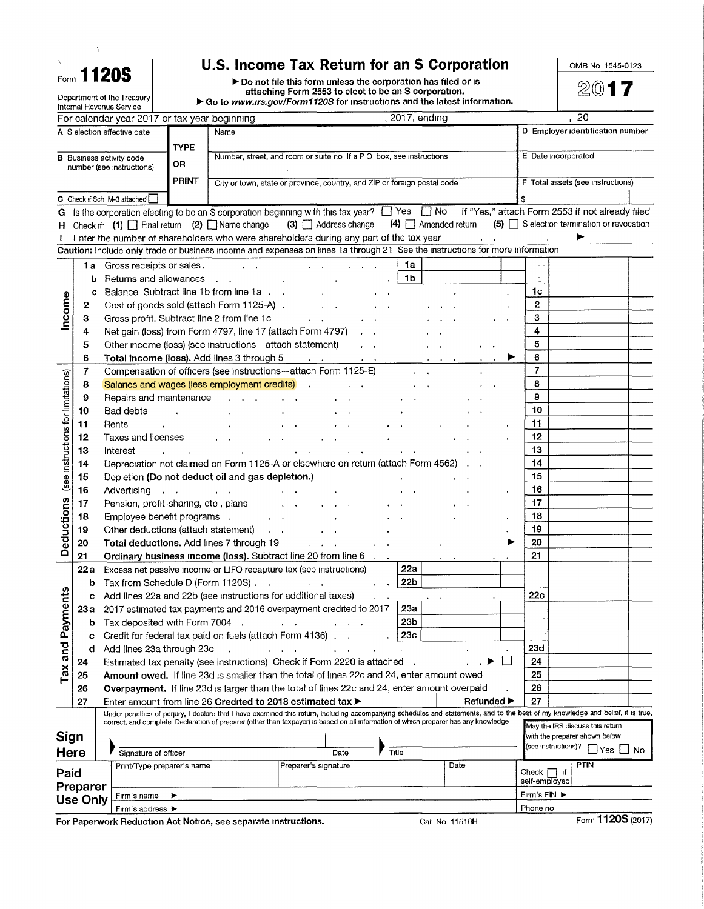|  | <b><sub>orn</sub> 1120S</b> |  |
|--|-----------------------------|--|
|  |                             |  |

 $\frac{1}{3}$ 

Form 1120S U.S. Income Tax Return for an S Corporation<br>
Form 1120S PDo not file this form unless the corporation has filed or is<br>
Department of the Treasury<br>
Department of the Treasury ▶ Go to *www.irs.gov/Form1120S* for instructions and the latest information.

|                                    |          | Internal Revenue Service                                     |              |                                                           |                                                                                                                                                                                                                                                                                                                         |                                                             |                 |                             |                        |                   |                          |                     |                                                   |           |
|------------------------------------|----------|--------------------------------------------------------------|--------------|-----------------------------------------------------------|-------------------------------------------------------------------------------------------------------------------------------------------------------------------------------------------------------------------------------------------------------------------------------------------------------------------------|-------------------------------------------------------------|-----------------|-----------------------------|------------------------|-------------------|--------------------------|---------------------|---------------------------------------------------|-----------|
|                                    |          | For calendar year 2017 or tax year beginning                 |              |                                                           |                                                                                                                                                                                                                                                                                                                         |                                                             |                 | 2017, ending                |                        |                   |                          |                     | 20                                                |           |
|                                    |          | A S election effective date                                  |              | Name                                                      |                                                                                                                                                                                                                                                                                                                         |                                                             |                 |                             |                        |                   |                          |                     | D Employer identification number                  |           |
|                                    |          |                                                              | <b>TYPE</b>  |                                                           |                                                                                                                                                                                                                                                                                                                         |                                                             |                 |                             |                        |                   |                          |                     |                                                   |           |
|                                    |          | <b>B</b> Business activity code<br>number (see instructions) | OR           |                                                           | Number, street, and room or suite no If a PO box, see instructions                                                                                                                                                                                                                                                      |                                                             |                 |                             |                        |                   | E Date incorporated      |                     |                                                   |           |
|                                    |          |                                                              | <b>PRINT</b> |                                                           |                                                                                                                                                                                                                                                                                                                         |                                                             |                 |                             |                        |                   |                          |                     |                                                   |           |
|                                    |          |                                                              |              |                                                           | City or town, state or province, country, and ZIP or foreign postal code                                                                                                                                                                                                                                                |                                                             |                 |                             |                        |                   |                          |                     | F Total assets (see instructions)                 |           |
| С                                  |          | Check if Sch M-3 attached                                    |              |                                                           |                                                                                                                                                                                                                                                                                                                         |                                                             |                 |                             |                        |                   |                          |                     |                                                   |           |
| G                                  |          |                                                              |              |                                                           | Is the corporation electing to be an S corporation beginning with this tax year? $\Box$ Yes $\Box$ No                                                                                                                                                                                                                   |                                                             |                 |                             |                        |                   |                          |                     | If "Yes," attach Form 2553 if not already filed   |           |
| н                                  |          | Check if $(1)$ $\Box$ Final return (2) $\Box$ Name change    |              |                                                           | $(3)$ $\Box$ Address change                                                                                                                                                                                                                                                                                             |                                                             |                 | $(4)$ $\Box$ Amended return |                        |                   |                          |                     | $(5)$ $\Box$ S election termination or revocation |           |
|                                    |          |                                                              |              |                                                           | Enter the number of shareholders who were shareholders during any part of the tax year                                                                                                                                                                                                                                  |                                                             |                 |                             | <b>Service Control</b> |                   |                          |                     |                                                   |           |
|                                    |          |                                                              |              |                                                           | Caution: Include only trade or business income and expenses on lines 1a through 21 See the instructions for more information                                                                                                                                                                                            |                                                             |                 |                             |                        |                   |                          |                     |                                                   |           |
|                                    | 1a i     | Gross receipts or sales.                                     |              |                                                           |                                                                                                                                                                                                                                                                                                                         | $\mathbf{r} = \mathbf{r} + \mathbf{r}$ , where $\mathbf{r}$ | 1a              |                             |                        |                   |                          |                     |                                                   |           |
|                                    | b        | Returns and allowances                                       |              | $\sim$                                                    |                                                                                                                                                                                                                                                                                                                         |                                                             | 1 <sub>b</sub>  |                             |                        |                   | $\overline{\phantom{a}}$ |                     |                                                   |           |
|                                    | c        |                                                              |              | Balance Subtract line 1b from line 1a                     |                                                                                                                                                                                                                                                                                                                         |                                                             |                 |                             |                        |                   | 1c                       |                     |                                                   |           |
| Income                             | 2        |                                                              |              | Cost of goods sold (attach Form 1125-A).                  |                                                                                                                                                                                                                                                                                                                         |                                                             |                 |                             |                        |                   | 2                        |                     |                                                   |           |
|                                    | з        |                                                              |              | Gross profit. Subtract line 2 from line 1c                |                                                                                                                                                                                                                                                                                                                         |                                                             |                 |                             |                        |                   | 3                        |                     |                                                   |           |
|                                    | 4        |                                                              |              |                                                           | Net gain (loss) from Form 4797, line 17 (attach Form 4797)                                                                                                                                                                                                                                                              |                                                             |                 |                             |                        |                   | 4                        |                     |                                                   |           |
|                                    | 5        |                                                              |              | Other income (loss) (see instructions - attach statement) |                                                                                                                                                                                                                                                                                                                         | $\mathbf{z} = \mathbf{z}$                                   |                 |                             |                        |                   | 5                        |                     |                                                   |           |
|                                    | 6        |                                                              |              | Total income (loss). Add lines 3 through 5                | $\mathcal{L}^{\text{max}}$ and $\mathcal{L}^{\text{max}}$                                                                                                                                                                                                                                                               | $\alpha = 1$ .                                              |                 |                             |                        |                   | 6                        |                     |                                                   |           |
|                                    | 7        |                                                              |              |                                                           | Compensation of officers (see instructions-attach Form 1125-E)                                                                                                                                                                                                                                                          |                                                             |                 |                             |                        |                   | $\overline{7}$           |                     |                                                   |           |
|                                    | 8        |                                                              |              | Salaries and wages (less employment credits)              | $\sim$                                                                                                                                                                                                                                                                                                                  |                                                             |                 |                             |                        |                   | 8                        |                     |                                                   |           |
|                                    | 9        | Repairs and maintenance                                      |              |                                                           |                                                                                                                                                                                                                                                                                                                         |                                                             |                 |                             |                        |                   | 9                        |                     |                                                   |           |
|                                    | 10       | <b>Bad debts</b>                                             |              |                                                           |                                                                                                                                                                                                                                                                                                                         |                                                             |                 |                             |                        |                   | 10                       |                     |                                                   |           |
|                                    | 11       | Rents<br>$\ddot{\phantom{a}}$                                |              |                                                           |                                                                                                                                                                                                                                                                                                                         |                                                             |                 |                             |                        |                   | 11                       |                     |                                                   |           |
|                                    | 12       | Taxes and licenses                                           |              |                                                           |                                                                                                                                                                                                                                                                                                                         |                                                             |                 |                             |                        |                   | 12                       |                     |                                                   |           |
|                                    | 13       | Interest                                                     |              |                                                           |                                                                                                                                                                                                                                                                                                                         |                                                             |                 |                             |                        |                   | 13                       |                     |                                                   |           |
|                                    | 14       |                                                              |              |                                                           | Depreciation not claimed on Form 1125-A or elsewhere on return (attach Form 4562)                                                                                                                                                                                                                                       |                                                             |                 |                             |                        |                   | 14                       |                     |                                                   |           |
| (see instructions for limitations) |          |                                                              |              |                                                           |                                                                                                                                                                                                                                                                                                                         |                                                             |                 |                             |                        |                   | 15                       |                     |                                                   |           |
|                                    | 15       |                                                              |              | Depletion (Do not deduct oil and gas depletion.)          |                                                                                                                                                                                                                                                                                                                         |                                                             |                 |                             |                        |                   | 16                       |                     |                                                   |           |
|                                    | 16       | Advertising                                                  |              |                                                           |                                                                                                                                                                                                                                                                                                                         |                                                             |                 |                             |                        |                   | 17                       |                     |                                                   |           |
|                                    | 17       | Pension, profit-sharing, etc, plans                          |              |                                                           |                                                                                                                                                                                                                                                                                                                         |                                                             |                 |                             |                        |                   |                          |                     |                                                   |           |
| <b>Deductions</b>                  | 18       | Employee benefit programs .                                  |              |                                                           |                                                                                                                                                                                                                                                                                                                         |                                                             |                 |                             |                        |                   | 18                       |                     |                                                   |           |
|                                    | 19       | Other deductions (attach statement)                          |              |                                                           |                                                                                                                                                                                                                                                                                                                         |                                                             |                 |                             |                        |                   | 19                       |                     |                                                   |           |
|                                    | 20       |                                                              |              | Total deductions. Add lines 7 through 19                  | $\mathbf{r} = \mathbf{r} + \mathbf{r}$                                                                                                                                                                                                                                                                                  |                                                             |                 |                             |                        |                   | 20                       |                     |                                                   |           |
|                                    | 21       |                                                              |              |                                                           | Ordinary business income (loss). Subtract line 20 from line 6                                                                                                                                                                                                                                                           |                                                             |                 |                             |                        |                   | 21                       |                     |                                                   |           |
|                                    | 22a      |                                                              |              |                                                           | Excess net passive income or LIFO recapture tax (see instructions)                                                                                                                                                                                                                                                      |                                                             | 22a             |                             |                        |                   |                          |                     |                                                   |           |
|                                    | b        | Tax from Schedule D (Form 1120S)                             |              |                                                           |                                                                                                                                                                                                                                                                                                                         |                                                             | 22 <sub>b</sub> |                             |                        |                   |                          |                     |                                                   |           |
|                                    | c        |                                                              |              |                                                           | Add lines 22a and 22b (see instructions for additional taxes)                                                                                                                                                                                                                                                           |                                                             |                 |                             |                        |                   | 22c                      |                     |                                                   |           |
| ments                              |          |                                                              |              |                                                           | 23a 2017 estimated tax payments and 2016 overpayment credited to 2017                                                                                                                                                                                                                                                   |                                                             | 23a             |                             |                        |                   |                          |                     |                                                   |           |
|                                    | b        | Tax deposited with Form 7004                                 |              |                                                           |                                                                                                                                                                                                                                                                                                                         |                                                             | 23 <sub>b</sub> |                             |                        |                   |                          |                     |                                                   |           |
| Tax and Pay                        | C        |                                                              |              | Credit for federal tax paid on fuels (attach Form 4136).  |                                                                                                                                                                                                                                                                                                                         |                                                             | 23 <sub>c</sub> |                             |                        |                   |                          |                     |                                                   |           |
|                                    | d        | Add lines 23a through 23c                                    |              |                                                           |                                                                                                                                                                                                                                                                                                                         |                                                             |                 |                             |                        |                   | 23d                      |                     |                                                   |           |
|                                    | 24       |                                                              |              |                                                           | Estimated tax penalty (see instructions) Check if Form 2220 is attached                                                                                                                                                                                                                                                 |                                                             |                 |                             |                        | $\vert \ \ \vert$ | 24                       |                     |                                                   |           |
|                                    | 25       |                                                              |              |                                                           | Amount owed. If line 23d is smaller than the total of lines 22c and 24, enter amount owed                                                                                                                                                                                                                               |                                                             |                 |                             |                        |                   | 25                       |                     |                                                   |           |
|                                    | 26       |                                                              |              |                                                           | Overpayment. If line 23d is larger than the total of lines 22c and 24, enter amount overpaid                                                                                                                                                                                                                            |                                                             |                 |                             |                        |                   | 26                       |                     |                                                   |           |
|                                    | 27       |                                                              |              |                                                           | Enter amount from line 26 Credited to 2018 estimated tax >                                                                                                                                                                                                                                                              |                                                             |                 |                             | <b>Refunded</b> ▶      |                   | 27                       |                     |                                                   |           |
|                                    |          |                                                              |              |                                                           | Under penalties of perjury, I declare that I have examined this return, including accompanying schedules and statements, and to the best of my knowledge and belief, it is true,<br>correct, and complete Declaration of preparer (other than taxpayer) is based on all information of which preparer has any knowledge |                                                             |                 |                             |                        |                   |                          |                     |                                                   |           |
|                                    |          |                                                              |              |                                                           |                                                                                                                                                                                                                                                                                                                         |                                                             |                 |                             |                        |                   |                          |                     | May the IRS discuss this return                   |           |
| Sign                               |          |                                                              |              |                                                           |                                                                                                                                                                                                                                                                                                                         |                                                             |                 |                             |                        |                   |                          | (see instructions)? | with the preparer shown below                     |           |
| <b>Here</b>                        |          | Signature of officer                                         |              |                                                           | Date                                                                                                                                                                                                                                                                                                                    | Title                                                       |                 |                             |                        |                   |                          |                     |                                                   | lYes ∐ No |
| Paid                               |          | Print/Type preparer's name                                   |              |                                                           | Preparer's signature                                                                                                                                                                                                                                                                                                    |                                                             |                 | Date                        |                        |                   | Check $\Box$ if          |                     | <b>PTIN</b>                                       |           |
|                                    | Preparer |                                                              |              |                                                           |                                                                                                                                                                                                                                                                                                                         |                                                             |                 |                             |                        |                   | self-employed            |                     |                                                   |           |
|                                    | Use Only | Firm's name                                                  |              |                                                           |                                                                                                                                                                                                                                                                                                                         |                                                             |                 |                             |                        |                   | Firm's $EIN$             |                     |                                                   |           |
|                                    |          | Firm's address >                                             |              |                                                           |                                                                                                                                                                                                                                                                                                                         |                                                             |                 |                             |                        |                   | Phone no                 |                     |                                                   |           |
|                                    |          |                                                              |              |                                                           |                                                                                                                                                                                                                                                                                                                         |                                                             |                 |                             |                        |                   |                          |                     |                                                   |           |

**For Paperwork Reduction Act Notice, see separate instructions.** Cat No 11510H Form 1120S (2017)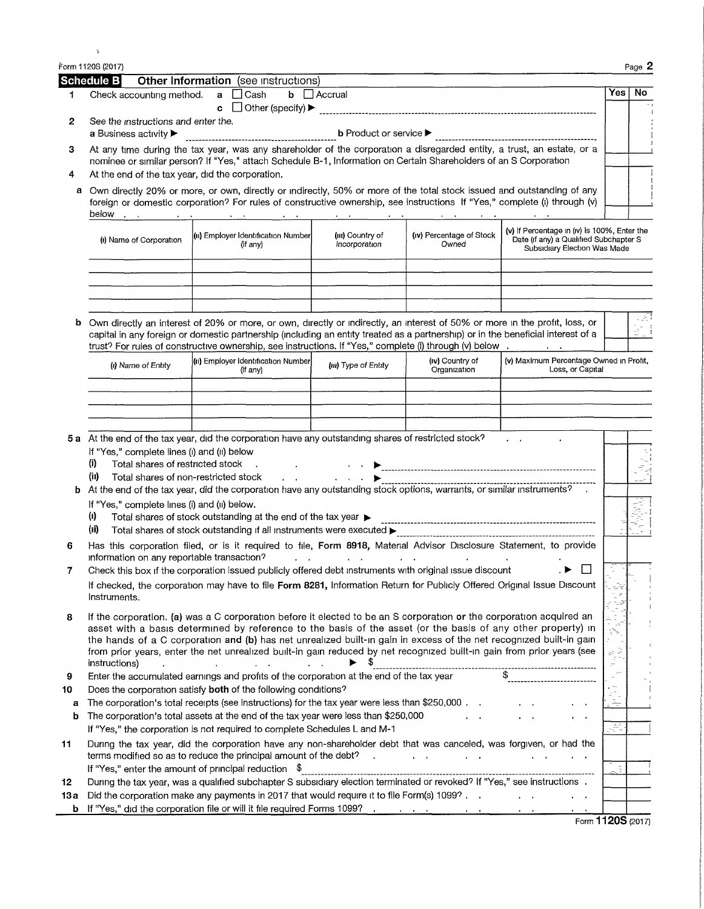|         | Form 1120S (2017)                                                                |                                                                                                                                                                                                                                                                                                                                                                                                                                                                                      |                                                             |                                                                                                                 |                                                                                                                        |     | Page 2 |
|---------|----------------------------------------------------------------------------------|--------------------------------------------------------------------------------------------------------------------------------------------------------------------------------------------------------------------------------------------------------------------------------------------------------------------------------------------------------------------------------------------------------------------------------------------------------------------------------------|-------------------------------------------------------------|-----------------------------------------------------------------------------------------------------------------|------------------------------------------------------------------------------------------------------------------------|-----|--------|
|         | Schedule B                                                                       | Other Information (see instructions)                                                                                                                                                                                                                                                                                                                                                                                                                                                 |                                                             |                                                                                                                 |                                                                                                                        |     |        |
| 1       | Check accounting method.                                                         | $\Box$ Cash<br>$\mathbf{a}$<br>c.                                                                                                                                                                                                                                                                                                                                                                                                                                                    | $b$ $\Box$ Accrual                                          |                                                                                                                 |                                                                                                                        | Yes | No     |
| 2       | See the instructions and enter the.<br>a Business activity $\blacktriangleright$ |                                                                                                                                                                                                                                                                                                                                                                                                                                                                                      | <b>b</b> Product or service $\blacktriangleright$           |                                                                                                                 |                                                                                                                        |     |        |
| з       |                                                                                  | At any time during the tax year, was any shareholder of the corporation a disregarded entity, a trust, an estate, or a<br>nominee or similar person? If "Yes," attach Schedule B-1, Information on Certain Shareholders of an S Corporation                                                                                                                                                                                                                                          |                                                             |                                                                                                                 |                                                                                                                        |     |        |
| 4       | At the end of the tax year, did the corporation.                                 |                                                                                                                                                                                                                                                                                                                                                                                                                                                                                      |                                                             |                                                                                                                 |                                                                                                                        |     |        |
| а       |                                                                                  | Own directly 20% or more, or own, directly or indirectly, 50% or more of the total stock issued and outstanding of any<br>foreign or domestic corporation? For rules of constructive ownership, see instructions If "Yes," complete (i) through (v)                                                                                                                                                                                                                                  |                                                             |                                                                                                                 |                                                                                                                        |     |        |
|         | (i) Name of Corporation                                                          | (ii) Employer Identification Number<br>(if any)                                                                                                                                                                                                                                                                                                                                                                                                                                      | (III) Country of<br>Incorporation                           | (iv) Percentage of Stock<br>Owned                                                                               | (v) If Percentage in (iv) is 100%, Enter the<br>Date (if any) a Qualified Subchapter S<br>Subsidiary Election Was Made |     |        |
|         |                                                                                  |                                                                                                                                                                                                                                                                                                                                                                                                                                                                                      |                                                             |                                                                                                                 |                                                                                                                        |     |        |
| b       |                                                                                  | Own directly an interest of 20% or more, or own, directly or indirectly, an interest of 50% or more in the profit, loss, or<br>capital in any foreign or domestic partnership (including an entity treated as a partnership) or in the beneficial interest of a<br>trust? For rules of constructive ownership, see instructions. If "Yes," complete (i) through (v) below                                                                                                            |                                                             |                                                                                                                 |                                                                                                                        |     |        |
|         | (i) Name of Entity                                                               | (ii) Employer Identification Number<br>(if any)                                                                                                                                                                                                                                                                                                                                                                                                                                      | (III) Type of Entity                                        | (iv) Country of<br>Organization                                                                                 | (v) Maximum Percentage Owned in Profit,<br>Loss, or Capital                                                            |     |        |
|         |                                                                                  |                                                                                                                                                                                                                                                                                                                                                                                                                                                                                      |                                                             |                                                                                                                 |                                                                                                                        |     |        |
|         |                                                                                  |                                                                                                                                                                                                                                                                                                                                                                                                                                                                                      |                                                             |                                                                                                                 |                                                                                                                        |     |        |
|         |                                                                                  |                                                                                                                                                                                                                                                                                                                                                                                                                                                                                      |                                                             |                                                                                                                 |                                                                                                                        |     |        |
|         |                                                                                  | 5 a At the end of the tax year, did the corporation have any outstanding shares of restricted stock?                                                                                                                                                                                                                                                                                                                                                                                 |                                                             |                                                                                                                 | $\mathbf{r} = \mathbf{r}$                                                                                              |     |        |
|         | If "Yes," complete lines (i) and (ii) below                                      |                                                                                                                                                                                                                                                                                                                                                                                                                                                                                      |                                                             |                                                                                                                 |                                                                                                                        |     |        |
|         | (i)<br>Total shares of restricted stock                                          |                                                                                                                                                                                                                                                                                                                                                                                                                                                                                      |                                                             |                                                                                                                 |                                                                                                                        |     |        |
| b       | (ii)<br>Total shares of non-restricted stock                                     | $\mathbf{r}$<br>At the end of the tax year, did the corporation have any outstanding stock options, warrants, or similar instruments?                                                                                                                                                                                                                                                                                                                                                | $\mathbf{r} = \mathbf{r} + \mathbf{r}$ , where $\mathbf{r}$ |                                                                                                                 |                                                                                                                        |     |        |
|         | If "Yes," complete lines (i) and (ii) below.                                     |                                                                                                                                                                                                                                                                                                                                                                                                                                                                                      |                                                             |                                                                                                                 |                                                                                                                        |     |        |
|         | $\left( 0 \right)$                                                               | Total shares of stock outstanding at the end of the tax year $\blacktriangleright$                                                                                                                                                                                                                                                                                                                                                                                                   |                                                             |                                                                                                                 |                                                                                                                        |     |        |
|         | (ii)                                                                             |                                                                                                                                                                                                                                                                                                                                                                                                                                                                                      |                                                             |                                                                                                                 |                                                                                                                        |     |        |
| 6       | information on any reportable transaction?                                       | Has this corporation filed, or is it required to file, Form 8918, Material Advisor Disclosure Statement, to provide                                                                                                                                                                                                                                                                                                                                                                  |                                                             | the contract of the contract of the contract of the contract of the contract of the contract of the contract of |                                                                                                                        |     |        |
| 7       |                                                                                  | Check this box if the corporation issued publicly offered debt instruments with original issue discount                                                                                                                                                                                                                                                                                                                                                                              |                                                             |                                                                                                                 |                                                                                                                        |     |        |
|         | Instruments.                                                                     | If checked, the corporation may have to file Form 8281, Information Return for Publicly Offered Original Issue Discount                                                                                                                                                                                                                                                                                                                                                              |                                                             |                                                                                                                 |                                                                                                                        |     |        |
| 8       | instructions)                                                                    | If the corporation, (a) was a C corporation before it elected to be an S corporation or the corporation acquired an<br>asset with a basis determined by reference to the basis of the asset (or the basis of any other property) in<br>the hands of a C corporation and (b) has net unrealized built-in gain in excess of the net recognized built-in gain<br>from prior years, enter the net unrealized built-in gain reduced by net recognized built-in gain from prior years (see |                                                             |                                                                                                                 |                                                                                                                        |     |        |
| 9<br>10 |                                                                                  | Enter the accumulated earnings and profits of the corporation at the end of the tax year<br>Does the corporation satisfy both of the following conditions?                                                                                                                                                                                                                                                                                                                           |                                                             |                                                                                                                 |                                                                                                                        |     |        |
| a       |                                                                                  | The corporation's total receipts (see instructions) for the tax year were less than \$250,000.                                                                                                                                                                                                                                                                                                                                                                                       |                                                             |                                                                                                                 |                                                                                                                        |     |        |
| b       |                                                                                  | The corporation's total assets at the end of the tax year were less than \$250,000<br>If "Yes," the corporation is not required to complete Schedules L and M-1                                                                                                                                                                                                                                                                                                                      |                                                             |                                                                                                                 |                                                                                                                        | Æ   |        |
| 11      |                                                                                  | During the tax year, did the corporation have any non-shareholder debt that was canceled, was forgiven, or had the<br>terms modified so as to reduce the principal amount of the debt?<br>If "Yes," enter the amount of principal reduction \$                                                                                                                                                                                                                                       |                                                             |                                                                                                                 |                                                                                                                        |     |        |
| 12      |                                                                                  | During the tax year, was a qualified subchapter S subsidiary election terminated or revoked? If "Yes," see instructions .                                                                                                                                                                                                                                                                                                                                                            |                                                             |                                                                                                                 |                                                                                                                        |     |        |
| 13а     |                                                                                  | Did the corporation make any payments in 2017 that would require it to file Form(s) 1099?                                                                                                                                                                                                                                                                                                                                                                                            |                                                             |                                                                                                                 |                                                                                                                        |     |        |
| b       |                                                                                  | If "Yes," did the corporation file or will it file required Forms 1099?                                                                                                                                                                                                                                                                                                                                                                                                              | $\sim$                                                      |                                                                                                                 |                                                                                                                        |     |        |
|         |                                                                                  |                                                                                                                                                                                                                                                                                                                                                                                                                                                                                      |                                                             |                                                                                                                 | Form 1120S (2017)                                                                                                      |     |        |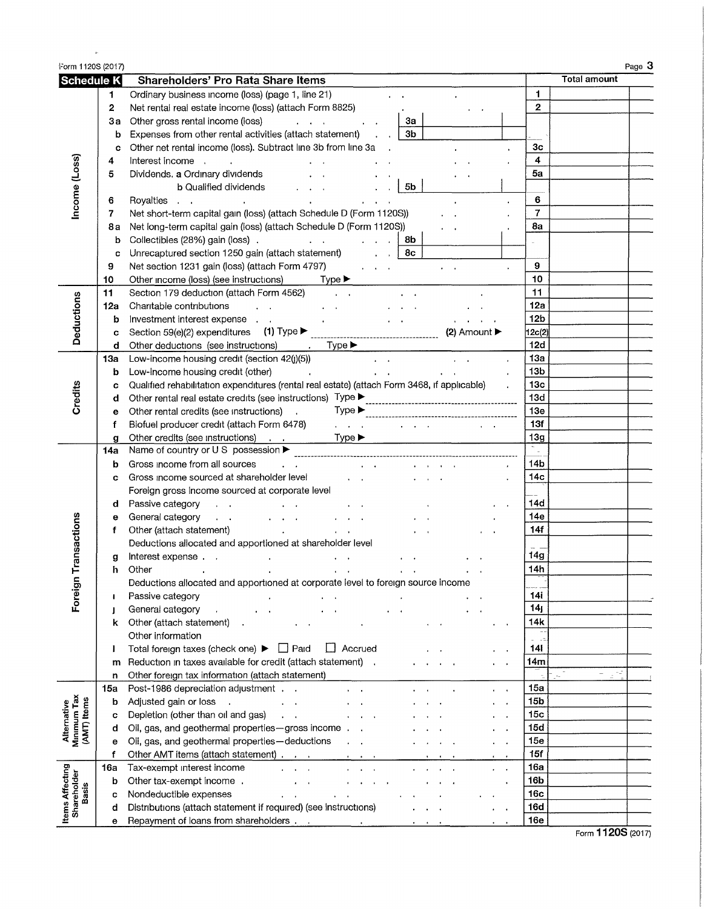| Form 1120S (2017)                         |                |                                                                                                                                                   |                 | Page 3              |
|-------------------------------------------|----------------|---------------------------------------------------------------------------------------------------------------------------------------------------|-----------------|---------------------|
| Schedule K                                |                | Shareholders' Pro Rata Share Items                                                                                                                |                 | <b>Total amount</b> |
|                                           | 1.             | Ordinary business income (loss) (page 1, line 21)                                                                                                 | $\mathbf{1}$    |                     |
|                                           | $\overline{2}$ | Net rental real estate income (loss) (attach Form 8825)                                                                                           | $\mathbf{2}$    |                     |
|                                           | За             | Other gross rental income (loss)<br>За<br>and a state of the state                                                                                |                 |                     |
|                                           | b              | 3b<br>Expenses from other rental activities (attach statement)<br>$\mathcal{L}^{\text{max}}$                                                      |                 |                     |
|                                           | C              | Other net rental income (loss). Subtract line 3b from line 3a                                                                                     | 3 <sub>c</sub>  |                     |
|                                           | 4              | Interest income<br>$\sim$                                                                                                                         | 4               |                     |
|                                           | 5              | Dividends. a Ordinary dividends                                                                                                                   | 5a              |                     |
| Income (Loss)                             |                | 5b<br><b>b</b> Qualified dividends                                                                                                                |                 |                     |
|                                           | 6              | Royalties                                                                                                                                         | 6               |                     |
|                                           | 7              | Net short-term capital gain (loss) (attach Schedule D (Form 1120S))                                                                               | $\overline{7}$  |                     |
|                                           |                | Net long-term capital gain (loss) (attach Schedule D (Form 1120S))                                                                                | 8a              |                     |
|                                           | 8а             |                                                                                                                                                   |                 |                     |
|                                           | b              | Collectibles (28%) gain (loss).<br>and the contract of the contract of<br>8b<br><b>Contract Contract</b><br>8c                                    |                 |                     |
|                                           | c              | Unrecaptured section 1250 gain (attach statement)                                                                                                 |                 |                     |
|                                           | 9              | Net section 1231 gain (loss) (attach Form 4797)<br>$\mathbf{r} = \mathbf{r} \times \mathbf{r}$ .                                                  | 9               |                     |
|                                           | 10             | Other income (loss) (see instructions) Type ▶                                                                                                     | 10              |                     |
|                                           | 11             | Section 179 deduction (attach Form 4562)<br><b>Contract Contract</b>                                                                              | 11              |                     |
| Deductions                                | 12a            | Charitable contributions<br>$\sim 10^{11}$ km $^{-1}$<br>and the control of the con-<br>$\mathbf{r} = \mathbf{r} + \mathbf{r}$ . The $\mathbf{r}$ | 12a             |                     |
|                                           | b              | Investment interest expense<br>$\mathbf{r} = \mathbf{r}$<br>$\mathbf{r} = \mathbf{r} \mathbf{r}$ , where $\mathbf{r} = \mathbf{r}$                | 12 <sub>b</sub> |                     |
|                                           | C              | (2) Amount ▶                                                                                                                                      | 12c(2)          |                     |
|                                           | d              | Other deductions (see instructions)<br>$.$ Type $\blacktriangleright$                                                                             | 12d             |                     |
|                                           | 1За            | Low-income housing credit (section 42(j)(5))<br>$\alpha = 1$ .                                                                                    | 13a             |                     |
|                                           | b              | Low-income housing credit (other)<br>$\sim 100$<br>$\mathbf{r} = \mathbf{r}$                                                                      | 13 <sub>b</sub> |                     |
|                                           | c              | Qualified rehabilitation expenditures (rental real estate) (attach Form 3468, if applicable)                                                      | 13 <sub>c</sub> |                     |
| Credits                                   | d              | Other rental real estate credits (see instructions) Type ▶                                                                                        | 13d             |                     |
|                                           | е              | Other rental credits (see instructions) .                                                                                                         | 13e             |                     |
|                                           | f              | Biofuel producer credit (attach Form 6478)<br><b>All Angels</b><br>and the contract of the con-                                                   | 13f             |                     |
|                                           | g              | Other credits (see instructions) Type ▶                                                                                                           | 13g             |                     |
|                                           | 14a            |                                                                                                                                                   |                 |                     |
|                                           | b              | Gross income from all sources<br><b>All Angeles</b>                                                                                               | 14b             |                     |
|                                           | c              | Gross income sourced at shareholder level<br>$\mathbf{r} = \mathbf{r}$                                                                            | 14с             |                     |
|                                           |                | Foreign gross income sourced at corporate level                                                                                                   |                 |                     |
|                                           | d              | Passive category<br>$\mathbf{r}=\mathbf{r}$                                                                                                       | 14d             |                     |
|                                           | е              | General category<br>$\mathbf{a} = \mathbf{a} + \mathbf{a}$ , where<br>$\mathbf{z} = \mathbf{z} + \mathbf{z}$ .                                    | 14e             |                     |
| Transactions                              | f              | Other (attach statement)<br>$\mathbf{r} = \mathbf{r}$<br>$\bullet$ .<br><br><br><br><br><br><br><br><br><br><br><br><br>                          | 14f             |                     |
|                                           |                | Deductions allocated and apportioned at shareholder level                                                                                         |                 |                     |
|                                           | g              | Interest expense                                                                                                                                  | 14g             |                     |
|                                           | h              | Other                                                                                                                                             | 14h             |                     |
| Foreign                                   |                | Deductions allocated and apportioned at corporate level to foreign source income                                                                  |                 |                     |
|                                           | 1              | Passive category                                                                                                                                  | 14i             |                     |
|                                           | J              | General category                                                                                                                                  | 14 <sub>j</sub> |                     |
|                                           | k              | Other (attach statement)                                                                                                                          | 14k             |                     |
|                                           |                | Other information                                                                                                                                 |                 |                     |
|                                           | I              | Total foreign taxes (check one) ▶ □ Paid<br>$\Box$ Accrued                                                                                        | 141             |                     |
|                                           | m              | Reduction in taxes available for credit (attach statement).                                                                                       | 14m             |                     |
|                                           | n              | Other foreign tax information (attach statement)                                                                                                  |                 | $\sim$ $\omega$     |
|                                           | 15а            | Post-1986 depreciation adjustment                                                                                                                 | 15a             |                     |
| Alternative<br>Minimum Tax<br>(AMT) Items | b              | Adjusted gain or loss                                                                                                                             | 15 <sub>b</sub> |                     |
|                                           | С              | Depletion (other than oil and gas)                                                                                                                | 15 <sub>c</sub> |                     |
|                                           | d              | Oil, gas, and geothermal properties-gross income.                                                                                                 | 15d             |                     |
|                                           | е              | Oil, gas, and geothermal properties-deductions                                                                                                    | 15e             |                     |
|                                           | f              | Other AMT items (attach statement)                                                                                                                | 15f             |                     |
|                                           | 16а            | Tax-exempt interest income                                                                                                                        | 16a             |                     |
|                                           | b              | Other tax-exempt income.                                                                                                                          | 16 <sub>b</sub> |                     |
| <b>Basis</b>                              | с              | Nondeductible expenses                                                                                                                            | 16c             |                     |
| Items Affecting<br>Shareholder            | d              | Distributions (attach statement if required) (see instructions)                                                                                   | 16d             |                     |
|                                           | е              |                                                                                                                                                   | 16e             |                     |
|                                           |                |                                                                                                                                                   |                 | ,,,,,               |

 $\sim$   $\mu$ 

Form **1120S** (2017)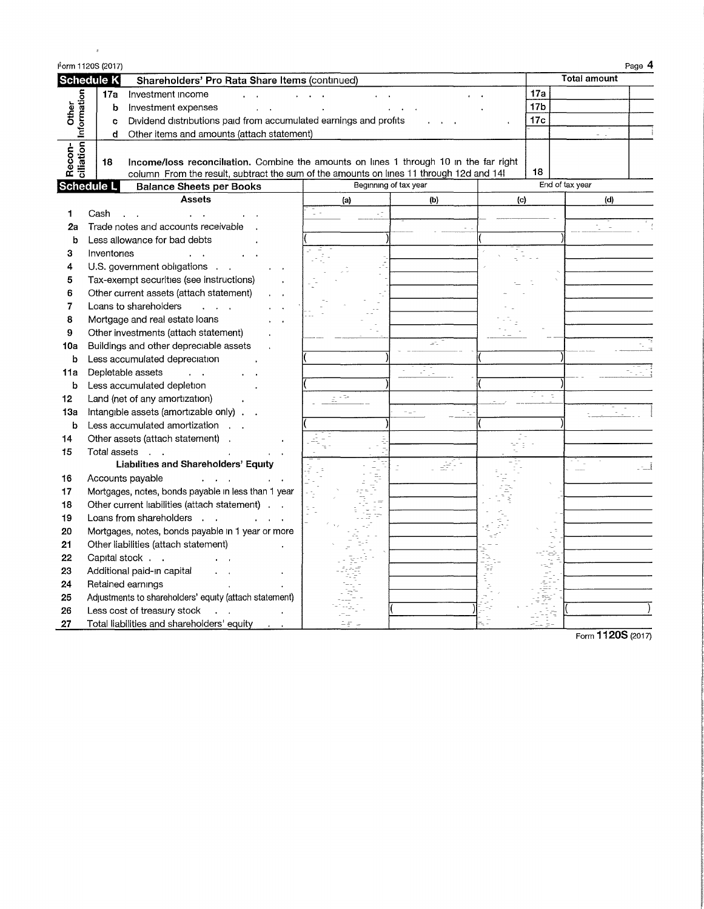|                                 | Form 1120S (2017)                                                                                                                                                                       |                   |                       |                     |     |                     | Page 4 |
|---------------------------------|-----------------------------------------------------------------------------------------------------------------------------------------------------------------------------------------|-------------------|-----------------------|---------------------|-----|---------------------|--------|
|                                 | <b>Schedule K</b><br>Shareholders' Pro Rata Share Items (continued)                                                                                                                     |                   |                       |                     |     | <b>Total amount</b> |        |
|                                 | 17a<br>Investment income                                                                                                                                                                |                   |                       |                     | 17a |                     |        |
| Other                           | b<br>Investment expenses                                                                                                                                                                |                   |                       |                     | 17b |                     |        |
|                                 | Dividend distributions paid from accumulated earnings and profits<br>c                                                                                                                  |                   |                       |                     | 17c |                     |        |
|                                 | Other items and amounts (attach statement)<br>đ                                                                                                                                         |                   |                       |                     |     |                     |        |
| ciliation Information<br>Recon- | Income/loss reconciliation. Combine the amounts on lines 1 through 10 in the far right<br>18<br>column From the result, subtract the sum of the amounts on lines 11 through 12d and 14! |                   |                       |                     | 18  | End of tax year     |        |
|                                 | Schedule L<br><b>Balance Sheets per Books</b>                                                                                                                                           |                   | Beginning of tax year |                     |     |                     |        |
|                                 | <b>Assets</b>                                                                                                                                                                           | (a)               | (b)                   | $\langle c \rangle$ |     | (d)                 |        |
| 1                               | Cash                                                                                                                                                                                    |                   |                       |                     |     |                     |        |
| 2a                              | Trade notes and accounts receivable                                                                                                                                                     |                   |                       |                     |     |                     |        |
| b                               | Less allowance for bad debts                                                                                                                                                            |                   |                       |                     |     |                     |        |
| 3                               | Inventories                                                                                                                                                                             |                   |                       |                     |     |                     |        |
| 4                               | U.S. government obligations                                                                                                                                                             |                   |                       |                     |     |                     |        |
| 5                               | Tax-exempt securities (see instructions)                                                                                                                                                |                   |                       |                     |     |                     |        |
| 6                               | Other current assets (attach statement)                                                                                                                                                 |                   |                       |                     |     |                     |        |
| 7                               | Loans to shareholders                                                                                                                                                                   |                   |                       |                     |     |                     |        |
| 8                               | Mortgage and real estate loans                                                                                                                                                          |                   |                       |                     |     |                     |        |
| 9                               | Other investments (attach statement)                                                                                                                                                    |                   |                       |                     |     |                     |        |
| 10a                             | Buildings and other depreciable assets                                                                                                                                                  |                   |                       |                     |     |                     |        |
| b                               | Less accumulated depreciation                                                                                                                                                           |                   |                       |                     |     |                     |        |
| 11a                             | Depletable assets                                                                                                                                                                       |                   |                       |                     |     |                     |        |
| b                               | Less accumulated depletion                                                                                                                                                              |                   |                       |                     |     |                     |        |
| 12                              | Land (net of any amortization)                                                                                                                                                          | $\mathbb{R}^{15}$ |                       |                     |     |                     |        |
| 13a                             | Intangible assets (amortizable only).                                                                                                                                                   |                   |                       |                     |     |                     |        |
| b                               | Less accumulated amortization                                                                                                                                                           |                   |                       |                     |     |                     |        |
| 14                              | Other assets (attach statement)                                                                                                                                                         |                   |                       |                     |     |                     |        |
| 15                              | Total assets<br>$\sim$ $\sim$                                                                                                                                                           |                   |                       |                     |     |                     |        |
|                                 | Liabilities and Shareholders' Equity                                                                                                                                                    |                   |                       |                     |     |                     |        |
| 16                              | Accounts payable                                                                                                                                                                        |                   |                       |                     |     |                     |        |
| 17                              | Mortgages, notes, bonds payable in less than 1 year                                                                                                                                     |                   |                       |                     |     |                     |        |
| 18                              | Other current liabilities (attach statement)                                                                                                                                            |                   |                       |                     |     |                     |        |
| 19                              | Loans from shareholders                                                                                                                                                                 |                   |                       |                     |     |                     |        |
| 20                              | Mortgages, notes, bonds payable in 1 year or more                                                                                                                                       |                   |                       |                     |     |                     |        |
| 21                              | Other liabilities (attach statement)                                                                                                                                                    |                   |                       |                     |     |                     |        |
| 22                              | Capital stock                                                                                                                                                                           |                   |                       |                     |     |                     |        |
| 23                              | Additional paid-in capital                                                                                                                                                              |                   |                       |                     |     |                     |        |
| 24                              | Retained earnings                                                                                                                                                                       |                   |                       |                     |     |                     |        |
| 25                              | Adjustments to shareholders' equity (attach statement)                                                                                                                                  |                   |                       |                     |     |                     |        |
| 26                              | Less cost of treasury stock                                                                                                                                                             |                   |                       |                     |     |                     |        |
| 27                              | Total liabilities and shareholders' equity                                                                                                                                              |                   |                       |                     |     |                     |        |

 $\langle \rangle$  as

Form **1120S(2017)**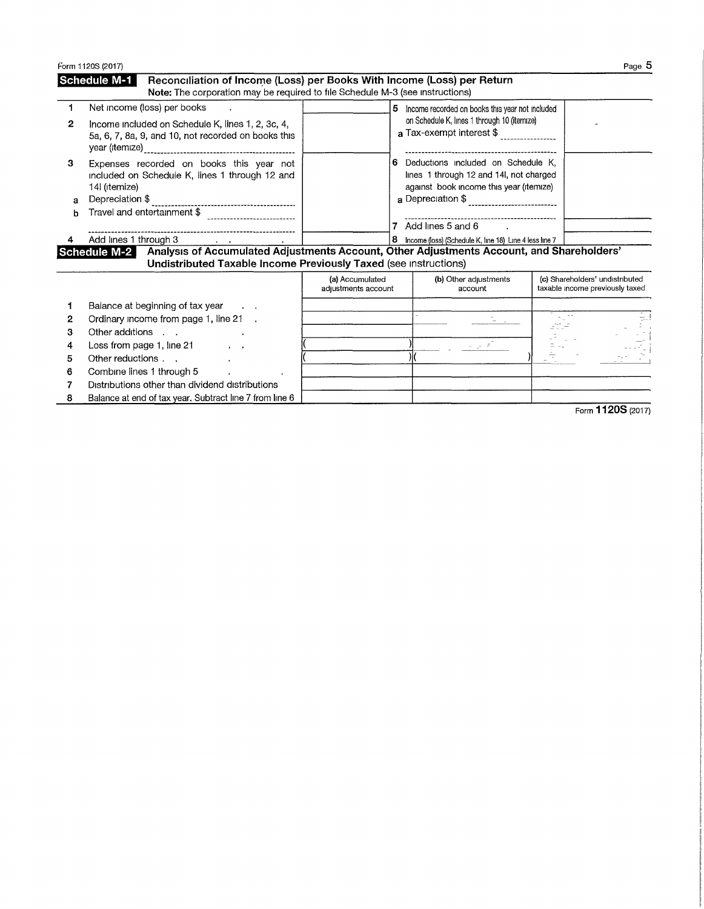|                                 | Form 1120S (2017)                                                                                                                                                                                                              |                                        |                                                                                                                                                                                                                                             | Page 5                                                             |
|---------------------------------|--------------------------------------------------------------------------------------------------------------------------------------------------------------------------------------------------------------------------------|----------------------------------------|---------------------------------------------------------------------------------------------------------------------------------------------------------------------------------------------------------------------------------------------|--------------------------------------------------------------------|
|                                 | <b>Schedule M-1</b><br>Reconciliation of Income (Loss) per Books With Income (Loss) per Return<br>Note: The corporation may be required to file Schedule M-3 (see instructions)                                                |                                        |                                                                                                                                                                                                                                             |                                                                    |
| 1<br>$\mathbf{2}$               | Net income (loss) per books<br>Income included on Schedule K, lines 1, 2, 3c, 4,<br>5a, 6, 7, 8a, 9, and 10, not recorded on books this                                                                                        |                                        | 5 Income recorded on books this year not included<br>on Schedule K, lines 1 through 10 (itemize)<br>a Tax-exempt interest \$                                                                                                                |                                                                    |
| з<br>а                          | Expenses recorded on books this year not<br>included on Schedule K, lines 1 through 12 and<br>14l (itemize)<br>Depreciation \$<br>Travel and entertainment \$<br>Add lines 1 through 3 Add lines 1 through 3                   | 6.<br>8                                | Deductions included on Schedule K.<br>lines 1 through 12 and 14, not charged<br>against book income this year (itemize)<br>---------------------------------<br>Add lines 5 and 6<br>Income (loss) (Schedule K, line 18) Line 4 less line 7 |                                                                    |
|                                 | Analysis of Accumulated Adjustments Account, Other Adjustments Account, and Shareholders'<br>Schedule M-2<br>Undistributed Taxable Income Previously Taxed (see instructions)                                                  |                                        |                                                                                                                                                                                                                                             |                                                                    |
|                                 |                                                                                                                                                                                                                                | (a) Accumulated<br>adjustments account | (b) Other adjustments<br>account                                                                                                                                                                                                            | (c) Shareholders' undistributed<br>taxable income previously taxed |
| 1<br>2<br>з<br>4<br>5<br>6<br>7 | Balance at beginning of tax year<br>Ordinary income from page 1, line 21 .<br>Other additions<br>Loss from page 1, line 21<br>Other reductions<br>Combine lines 1 through 5<br>Distributions other than dividend distributions |                                        | $\mathcal{L} \subset \mathcal{F}$                                                                                                                                                                                                           |                                                                    |
| 8                               | Balance at end of tax year. Subtract line 7 from line 6                                                                                                                                                                        |                                        |                                                                                                                                                                                                                                             | $\overline{11000}$                                                 |

Form **1120S** (2017)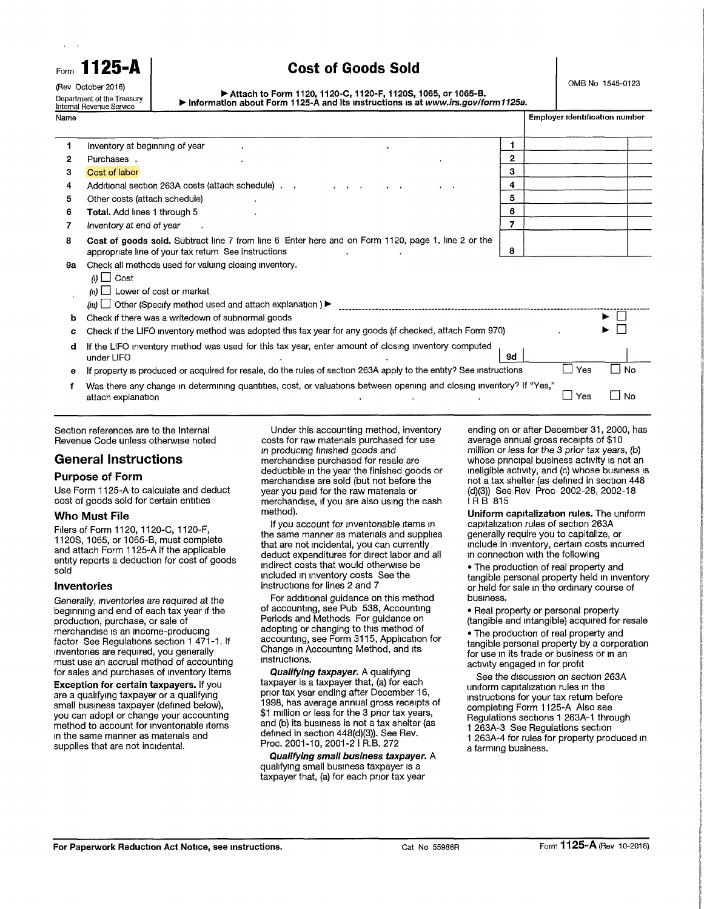| Internal Revenue Service   |
|----------------------------|
| Department of the Treasury |
| (Rev October 2016)         |
|                            |

# **Form 1125-A Cost of Goods Sold**

OMB No 1545-0123

|                                                                                 | ▶ Attach to Form 1120, 1120-C, 1120-F, 1120S, 1065, or 1065-B. |  |  |
|---------------------------------------------------------------------------------|----------------------------------------------------------------|--|--|
| Information about Form 1125-A and its instructions is at www.irs.gov/form1125a. |                                                                |  |  |

| Name |                                                                                                                                                                                                         |    |     | Employer identification number |  |
|------|---------------------------------------------------------------------------------------------------------------------------------------------------------------------------------------------------------|----|-----|--------------------------------|--|
|      | Inventory at beginning of year                                                                                                                                                                          |    |     |                                |  |
| 2    | Purchases.                                                                                                                                                                                              | 2  |     |                                |  |
| з    | Cost of labor                                                                                                                                                                                           | з  |     |                                |  |
| 4    | Additional section 263A costs (attach schedule)                                                                                                                                                         | 4  |     |                                |  |
| 5    | Other costs (attach schedule)                                                                                                                                                                           | 5  |     |                                |  |
| 6    | <b>Total.</b> Add lines 1 through 5                                                                                                                                                                     | 6  |     |                                |  |
|      | Inventory at end of year                                                                                                                                                                                |    |     |                                |  |
| 8    | Cost of goods sold. Subtract line 7 from line 6 Enter here and on Form 1120, page 1, line 2 or the<br>appropriate line of your tax return See instructions                                              |    |     |                                |  |
| 9а   | Check all methods used for valuing closing inventory.<br>$\omega$ $\Box$ Cost<br>$(n)$ Lower of cost or market<br>$(m)$ $\Box$ Other (Specify method used and attach explanation) $\blacktriangleright$ |    |     |                                |  |
| b    | Check if there was a writedown of subnormal goods                                                                                                                                                       |    |     |                                |  |
| c    | Check if the LIFO inventory method was adopted this tax year for any goods (if checked, attach Form 970)                                                                                                |    |     |                                |  |
| d    | If the LIFO inventory method was used for this tax year, enter amount of closing inventory computed<br>under LIFO                                                                                       | 9d |     |                                |  |
| е    | If property is produced or acquired for resale, do the rules of section 263A apply to the entity? See instructions                                                                                      |    | Yes | l I No                         |  |
|      | Was there any change in determining quantities, cost, or valuations between opening and closing inventory? If "Yes,"<br>attach explanation                                                              |    | Yes | No.<br>$\Box$                  |  |

Section references are to the Internal Revenue Code unless otherwise noted

# **General Instructions**

## **Purpose of Form**

Use Form 1125-A to calculate and deduct cost of goods sold for certain entities

## **Who Must File**

Filers of Form 1120, 1120-C, 1120-F, 1120S, 1065, or 1065-B, must complete and attach Form 1125-A if the applicable entity reports a deduction for cost of goods sold

#### **Inventories**

Generally, inventories are required at the beginning and end of each tax year if the production, purchase, or sale of merchandise is an income-producing factor See Regulations section 1 471-1. If inventories are required, you generally must use an accrual method of accounting for sales and purchases of inventory items

**Exception for certain taxpayers.** If you are a qualifying taxpayer or a qualifying small business taxpayer (defined below), you can adopt or change your accounting method to account for mventoriable items in the same manner as materials and supplies that are not incidental.

Under this accounting method, inventory costs for raw materials purchased for use in *producing* finished goods *and* merchandise purchased for resale are deductible in the year the finished goods or merchandise are sold (but not before the year you paid for the raw materials or merchandise, if you are also using the cash method).

If you account for mventoriable items in the same manner as materials and supplies that are not incidental, you can currently deduct expenditures for direct labor and all indirect costs that would otherwise be included in inventory costs See the instructions for lines 2 and 7

For additional guidance on this method of accounting, see Pub 538, Accounting Periods and Methods For guidance on adopting or changing to this method of accounting, see Form 3115, Application for Change in Accounting Method, and its instructions.

*Qualifying taxpayer.* A qualifying taxpayer is a taxpayer that, (a) for each prior tax year ending after December 16, 1998, has average annual gross receipts of \$1 million or less for the 3 prior tax years, and (b) its business is not a tax shelter (as defined in section 448(d)(3)). See Rev. Proc. 2001-10, 2001-2 I R.B. 272

*Qualifying small business taxpayer.* A qualifying small business taxpayer is a taxpayer that, (a) for each prior tax year

ending on or after December 31, 2000, has average annual gross receipts of \$10 million or less for the 3 prior tax years, (b) whose principal business activity is not an ineligible activity, and (c) whose business is not a tax shelter (as defined in section 448 (d)(3)) See Rev Proc 2002-28, 2002-18 I RB 815

**Uniform capitalization rules.** The uniform capitalization rules of section 263A generally require you to capitalize, or include in inventory, certain costs incurred in connection with the following

• The production of real property and tangible personal property held in inventory or held for sale in the ordinary course of business.

• Real property or personal property (tangible and intangible) acquired for resale

• The production of real property and tangible personal property by a corporation for use in its trade or business or in an activity engaged in for profit

See the discussion on *section* 263A uniform capitalization rules in the instructions for your tax return before completing Form 1125-A Also see Regulations sections 1 263A-1 through 1 263A-3 See Regulations section 1 263A-4 for rules for property produced in

a farming business.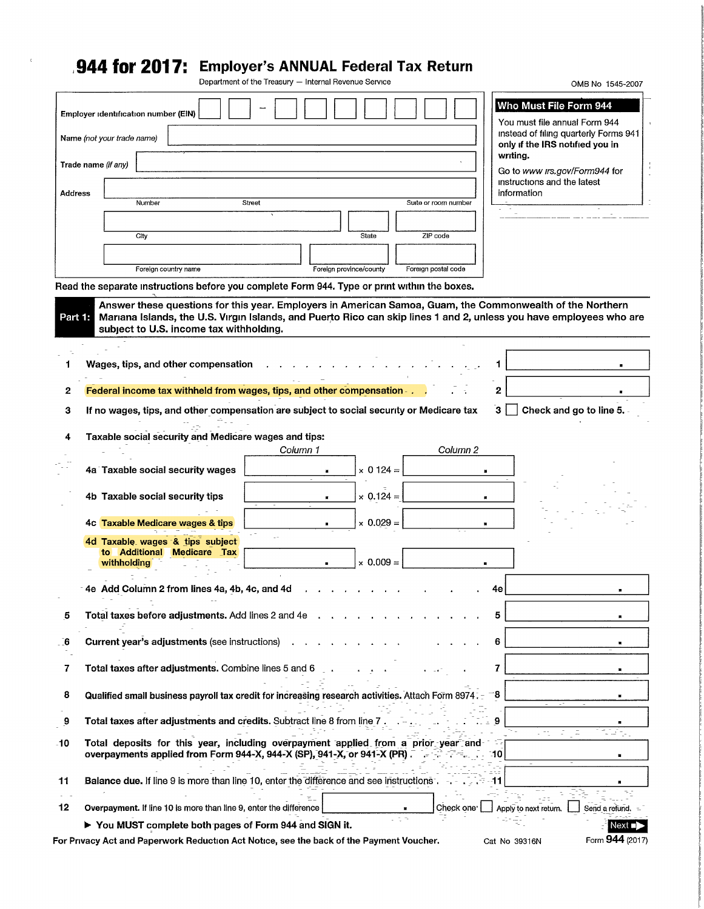# **,944 for 2017: Employer's ANNUAL Federal Tax Return**

 $\zeta$ 

Department of the Treasury — Internal Revenue Service

|                                                                                                                                                              | Department of the Treasury - Internal Revenue Service                                                                                                                    |                                                                                                                                                                                                                                                                      |                                                                          |                                                                                                                                                                                                                                                                                                                                             | OMB No 1545-2007                                                                                                                                                                                                                                                                                           |
|--------------------------------------------------------------------------------------------------------------------------------------------------------------|--------------------------------------------------------------------------------------------------------------------------------------------------------------------------|----------------------------------------------------------------------------------------------------------------------------------------------------------------------------------------------------------------------------------------------------------------------|--------------------------------------------------------------------------|---------------------------------------------------------------------------------------------------------------------------------------------------------------------------------------------------------------------------------------------------------------------------------------------------------------------------------------------|------------------------------------------------------------------------------------------------------------------------------------------------------------------------------------------------------------------------------------------------------------------------------------------------------------|
| Employer identification number (EIN)                                                                                                                         |                                                                                                                                                                          |                                                                                                                                                                                                                                                                      |                                                                          |                                                                                                                                                                                                                                                                                                                                             | Who Must File Form 944                                                                                                                                                                                                                                                                                     |
| Name (not your trade name)                                                                                                                                   |                                                                                                                                                                          |                                                                                                                                                                                                                                                                      |                                                                          |                                                                                                                                                                                                                                                                                                                                             | You must file annual Form 944<br>instead of filing quarterly Forms 941                                                                                                                                                                                                                                     |
|                                                                                                                                                              |                                                                                                                                                                          |                                                                                                                                                                                                                                                                      |                                                                          | writing.                                                                                                                                                                                                                                                                                                                                    |                                                                                                                                                                                                                                                                                                            |
|                                                                                                                                                              |                                                                                                                                                                          |                                                                                                                                                                                                                                                                      |                                                                          |                                                                                                                                                                                                                                                                                                                                             | Go to www irs.gov/Form944 for                                                                                                                                                                                                                                                                              |
| Address                                                                                                                                                      |                                                                                                                                                                          |                                                                                                                                                                                                                                                                      |                                                                          | information                                                                                                                                                                                                                                                                                                                                 |                                                                                                                                                                                                                                                                                                            |
|                                                                                                                                                              |                                                                                                                                                                          |                                                                                                                                                                                                                                                                      |                                                                          |                                                                                                                                                                                                                                                                                                                                             |                                                                                                                                                                                                                                                                                                            |
|                                                                                                                                                              |                                                                                                                                                                          |                                                                                                                                                                                                                                                                      |                                                                          |                                                                                                                                                                                                                                                                                                                                             |                                                                                                                                                                                                                                                                                                            |
|                                                                                                                                                              |                                                                                                                                                                          |                                                                                                                                                                                                                                                                      |                                                                          |                                                                                                                                                                                                                                                                                                                                             |                                                                                                                                                                                                                                                                                                            |
|                                                                                                                                                              |                                                                                                                                                                          |                                                                                                                                                                                                                                                                      |                                                                          |                                                                                                                                                                                                                                                                                                                                             |                                                                                                                                                                                                                                                                                                            |
|                                                                                                                                                              |                                                                                                                                                                          |                                                                                                                                                                                                                                                                      |                                                                          |                                                                                                                                                                                                                                                                                                                                             |                                                                                                                                                                                                                                                                                                            |
|                                                                                                                                                              |                                                                                                                                                                          |                                                                                                                                                                                                                                                                      |                                                                          |                                                                                                                                                                                                                                                                                                                                             |                                                                                                                                                                                                                                                                                                            |
|                                                                                                                                                              |                                                                                                                                                                          |                                                                                                                                                                                                                                                                      |                                                                          |                                                                                                                                                                                                                                                                                                                                             |                                                                                                                                                                                                                                                                                                            |
|                                                                                                                                                              |                                                                                                                                                                          |                                                                                                                                                                                                                                                                      |                                                                          | 2                                                                                                                                                                                                                                                                                                                                           |                                                                                                                                                                                                                                                                                                            |
|                                                                                                                                                              |                                                                                                                                                                          |                                                                                                                                                                                                                                                                      |                                                                          | З.                                                                                                                                                                                                                                                                                                                                          | Check and go to line 5.                                                                                                                                                                                                                                                                                    |
|                                                                                                                                                              |                                                                                                                                                                          |                                                                                                                                                                                                                                                                      |                                                                          |                                                                                                                                                                                                                                                                                                                                             |                                                                                                                                                                                                                                                                                                            |
|                                                                                                                                                              |                                                                                                                                                                          |                                                                                                                                                                                                                                                                      |                                                                          |                                                                                                                                                                                                                                                                                                                                             |                                                                                                                                                                                                                                                                                                            |
|                                                                                                                                                              |                                                                                                                                                                          |                                                                                                                                                                                                                                                                      |                                                                          |                                                                                                                                                                                                                                                                                                                                             |                                                                                                                                                                                                                                                                                                            |
|                                                                                                                                                              |                                                                                                                                                                          |                                                                                                                                                                                                                                                                      |                                                                          |                                                                                                                                                                                                                                                                                                                                             |                                                                                                                                                                                                                                                                                                            |
| 4b Taxable social security tips                                                                                                                              |                                                                                                                                                                          | $\times$ 0.124 =                                                                                                                                                                                                                                                     |                                                                          |                                                                                                                                                                                                                                                                                                                                             |                                                                                                                                                                                                                                                                                                            |
|                                                                                                                                                              |                                                                                                                                                                          |                                                                                                                                                                                                                                                                      |                                                                          |                                                                                                                                                                                                                                                                                                                                             |                                                                                                                                                                                                                                                                                                            |
|                                                                                                                                                              |                                                                                                                                                                          |                                                                                                                                                                                                                                                                      |                                                                          |                                                                                                                                                                                                                                                                                                                                             |                                                                                                                                                                                                                                                                                                            |
| to Additional Medicare Tax<br>withholding                                                                                                                    |                                                                                                                                                                          | $\times$ 0.009 =                                                                                                                                                                                                                                                     |                                                                          |                                                                                                                                                                                                                                                                                                                                             |                                                                                                                                                                                                                                                                                                            |
|                                                                                                                                                              |                                                                                                                                                                          |                                                                                                                                                                                                                                                                      |                                                                          | 4е                                                                                                                                                                                                                                                                                                                                          |                                                                                                                                                                                                                                                                                                            |
|                                                                                                                                                              |                                                                                                                                                                          |                                                                                                                                                                                                                                                                      |                                                                          | 5                                                                                                                                                                                                                                                                                                                                           |                                                                                                                                                                                                                                                                                                            |
| Current year's adjustments (see instructions)                                                                                                                |                                                                                                                                                                          |                                                                                                                                                                                                                                                                      |                                                                          |                                                                                                                                                                                                                                                                                                                                             |                                                                                                                                                                                                                                                                                                            |
|                                                                                                                                                              |                                                                                                                                                                          |                                                                                                                                                                                                                                                                      |                                                                          | 6                                                                                                                                                                                                                                                                                                                                           |                                                                                                                                                                                                                                                                                                            |
| Total taxes after adjustments. Combine lines 5 and 6                                                                                                         | $\sim$                                                                                                                                                                   |                                                                                                                                                                                                                                                                      |                                                                          | 7                                                                                                                                                                                                                                                                                                                                           |                                                                                                                                                                                                                                                                                                            |
| Qualified small business payroll tax credit for increasing research activities. Attach Form 8974. -                                                          |                                                                                                                                                                          |                                                                                                                                                                                                                                                                      |                                                                          | 8                                                                                                                                                                                                                                                                                                                                           |                                                                                                                                                                                                                                                                                                            |
| Total taxes after adjustments and credits. Subtract line 8 from line 7                                                                                       |                                                                                                                                                                          |                                                                                                                                                                                                                                                                      |                                                                          | 9                                                                                                                                                                                                                                                                                                                                           |                                                                                                                                                                                                                                                                                                            |
| Total deposits for this year, including overpayment applied from a prior year and<br>overpayments applied from Form 944-X, 944-X (SP), 941-X, or 941-X (PR). |                                                                                                                                                                          |                                                                                                                                                                                                                                                                      |                                                                          | 10                                                                                                                                                                                                                                                                                                                                          |                                                                                                                                                                                                                                                                                                            |
| Balance due. If line 9 is more than line 10, enter the difference and see instructions.                                                                      |                                                                                                                                                                          |                                                                                                                                                                                                                                                                      |                                                                          | -11                                                                                                                                                                                                                                                                                                                                         |                                                                                                                                                                                                                                                                                                            |
| Overpayment. If line 10 is more than line 9, enter the difference                                                                                            |                                                                                                                                                                          |                                                                                                                                                                                                                                                                      | Check one <sup>.</sup>                                                   | Apply to next return.                                                                                                                                                                                                                                                                                                                       | Send a refund.                                                                                                                                                                                                                                                                                             |
|                                                                                                                                                              | Trade name (if any)<br>Number<br>City<br>Foreign country name<br>4a Taxable social security wages<br>4c Taxable Medicare wages & tips<br>4d Taxable wages & tips subject | Street<br>subject to U.S. income tax withholding.<br>Wages, tips, and other compensation<br>Taxable social security and Medicare wages and tips:<br>Column 1<br>4e Add Column 2 from lines 4a, 4b, 4c, and 4d<br>Total taxes before adjustments. Add lines 2 and 4e. | State<br>Foreign province/county<br>$\times$ 0 124 =<br>$\times$ 0.029 = | Suite or room number<br>ZIP code<br>Foreign postal code<br>Read the separate instructions before you complete Form 944. Type or print within the boxes.<br>Federal income tax withheld from wages, tips, and other compensation - .<br>If no wages, tips, and other compensation are subject to social security or Medicare tax<br>Column 2 | only if the IRS notified you in<br>instructions and the latest<br>Answer these questions for this year. Employers in American Samoa, Guam, the Commonwealth of the Northern<br>Part 1. Mariana Islands, the U.S. Virgin Islands, and Puerto Rico can skip lines 1 and 2, unless you have employees who are |